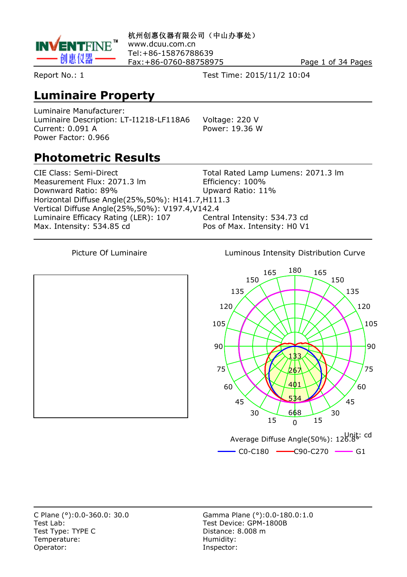

**杭州创惠仪器有限公司(中山办事处)** www.dcuu.com.cn Tel:+86-15876788639 Fax:+86-0760-88758975 Page 1 of 34 Pages

Report No.: 1 Test Time: 2015/11/2 10:04

#### **Luminaire Property**

Luminaire Manufacturer: Luminaire Description: LT-I1218-LF118A6 Voltage: 220 V Current: 0.091 A Power: 19.36 W Power Factor: 0.966

# **Photometric Results**

CIE Class: Semi-Direct Total Rated Lamp Lumens: 2071.3 lm Measurement Flux: 2071.3 lm Efficiency: 100% Downward Ratio: 89% Upward Ratio: 11% Horizontal Diffuse Angle(25%,50%): H141.7,H111.3 Vertical Diffuse Angle(25%,50%): V197.4,V142.4 Luminaire Efficacy Rating (LER): 107 Central Intensity: 534.73 cd Max. Intensity: 534.85 cd Pos of Max. Intensity: H0 V1

Picture Of Luminaire **Luminous Intensity Distribution Curve** 



Test Lab: Test Device: GPM-1800B Test Type: TYPE C<br>
Temperature: C<br>
Temperature: C<br>
Distance: 8.008 m Temperature: Operator: **Inspector:** 

C Plane (°):0.0-360.0: 30.0 Gamma Plane (°):0.0-180.0:1.0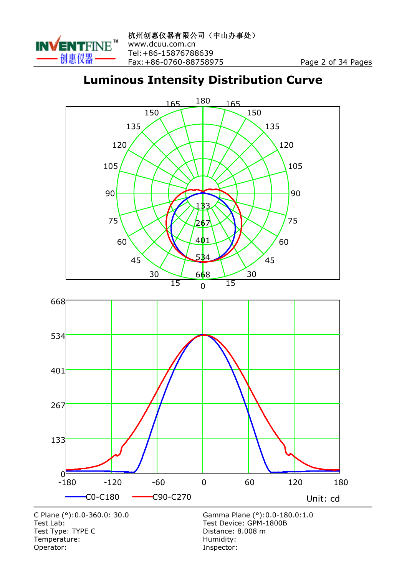

#### **Luminous Intensity Distribution Curve**



Temperature:<br>Operator:

Inspector: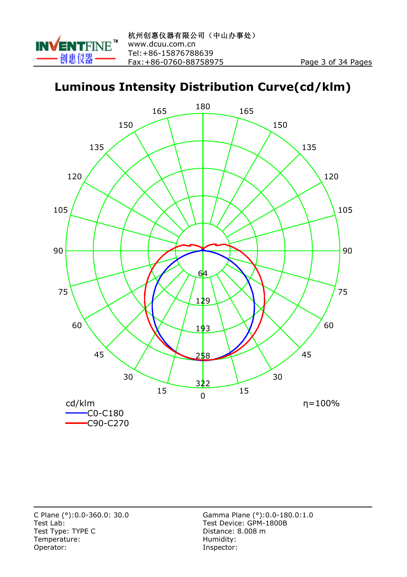

#### **Luminous Intensity Distribution Curve(cd/klm)**

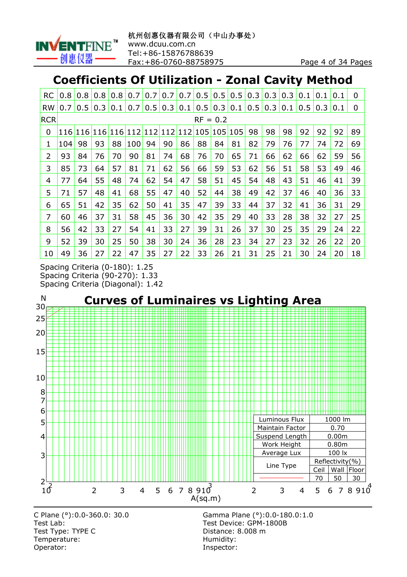

# **Coefficients Of Utilization - Zonal Cavity Method**

| <b>RC</b>  | 0.8           | 0.8           | 0.8 | 0.8 | 0.7             | 0.7 | 0.7 | 0.7 | 0.5     | 0.5               | 0.5 | 0.3 | 0.3 | 0.3 | 0.1 | 0.1 | 0.1 | 0              |
|------------|---------------|---------------|-----|-----|-----------------|-----|-----|-----|---------|-------------------|-----|-----|-----|-----|-----|-----|-----|----------------|
| <b>RW</b>  | 0.7           | $0.5^{\circ}$ | 0.3 | 0.1 | 0.7             | 0.5 | 0.3 | 0.1 | 0.5     | $\vert 0.3 \vert$ | 0.1 | 0.5 | 0.3 | 0.1 | 0.5 | 0.3 | 0.1 | $\overline{0}$ |
| <b>RCR</b> |               |               |     |     |                 |     |     |     |         | $RF = 0.2$        |     |     |     |     |     |     |     |                |
| 0          | <u> 116  </u> | 116           |     |     | 116 116 112 112 |     | 112 |     | 112 105 | 105               | 105 | 98  | 98  | 98  | 92  | 92  | 92  | 89             |
| 1          | 104           | 98            | 93  | 88  | 100             | 94  | 90  | 86  | 88      | 84                | 81  | 82  | 79  | 76  | 77  | 74  | 72  | 69             |
| 2          | 93            | 84            | 76  | 70  | 90              | 81  | 74  | 68  | 76      | 70                | 65  | 71  | 66  | 62  | 66  | 62  | 59  | 56             |
| 3          | 85            | 73            | 64  | 57  | 81              | 71  | 62  | 56  | 66      | 59                | 53  | 62  | 56  | 51  | 58  | 53  | 49  | 46             |
| 4          | 77            | 64            | 55  | 48  | 74              | 62  | 54  | 47  | 58      | 51                | 45  | 54  | 48  | 43  | 51  | 46  | 41  | 39             |
| 5          | 71            | 57            | 48  | 41  | 68              | 55  | 47  | 40  | 52      | 44                | 38  | 49  | 42  | 37  | 46  | 40  | 36  | 33             |
| 6          | 65            | 51            | 42  | 35  | 62              | 50  | 41  | 35  | 47      | 39                | 33  | 44  | 37  | 32  | 41  | 36  | 31  | 29             |
| 7          | 60            | 46            | 37  | 31  | 58              | 45  | 36  | 30  | 42      | 35                | 29  | 40  | 33  | 28  | 38  | 32  | 27  | 25             |
| 8          | 56            | 42            | 33  | 27  | 54              | 41  | 33  | 27  | 39      | 31                | 26  | 37  | 30  | 25  | 35  | 29  | 24  | 22             |
| 9          | 52            | 39            | 30  | 25  | 50              | 38  | 30  | 24  | 36      | 28                | 23  | 34  | 27  | 23  | 32  | 26  | 22  | 20             |
| 10         | 49            | 36            | 27  | 22  | 47              | 35  | 27  | 22  | 33      | 26                | 21  | 31  | 25  | 21  | 30  | 24  | 20  | 18             |

Spacing Criteria (0-180): 1.25 Spacing Criteria (90-270): 1.33 Spacing Criteria (Diagonal): 1.42



Test Lab: Test Device: GPM-1800B Test Type: TYPE C<br>
Temperature: Contract Contract Contract Contract Contract Contract Contract Contract Contract Contract Contract Contract Contract Contract Contract Contract Contract Contract Contract Contract Contract C Temperature: Operator: **Inspector:** 

C Plane (°):0.0-360.0: 30.0 Gamma Plane (°):0.0-180.0:1.0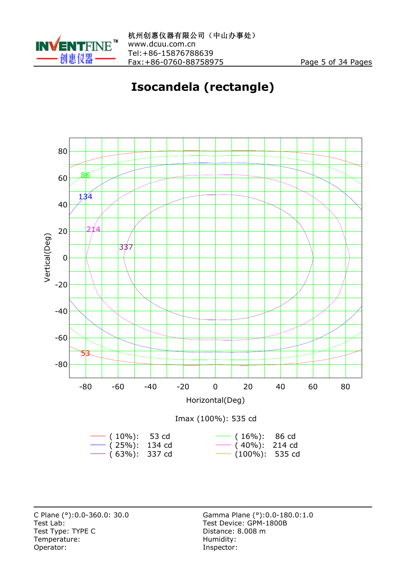

# **Isocandela (rectangle)**

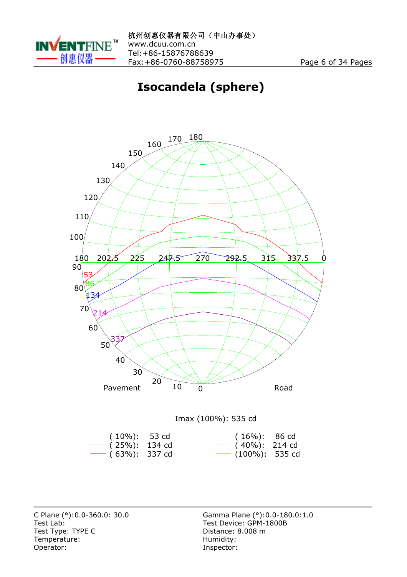

# **Isocandela (sphere)**





Test Lab: Test Device: GPM-1800B Test Type: TYPE C<br>
Temperature: Contract Contract Contract Contract Contract Contract Contract Contract Contract Contract Contract Contract Contract Contract Contract Contract Contract Contract Contract Contract Contract C  $Temperature:$ Operator: Inspector:

C Plane (°):0.0-360.0: 30.0 Gamma Plane (°):0.0-180.0:1.0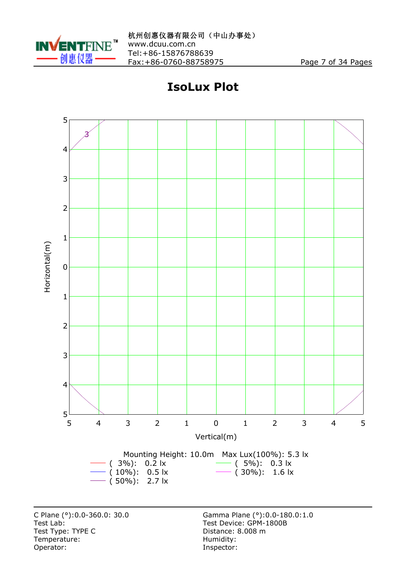

# **IsoLux Plot**



Test Type: TYPE C<br>
Temperature: Contract Contract Contract Contract Contract Contract Contract Contract Contract Contract Contract Contract Contract Contract Contract Contract Contract Contract Contract Contract Contract C Temperature:<br>Operator: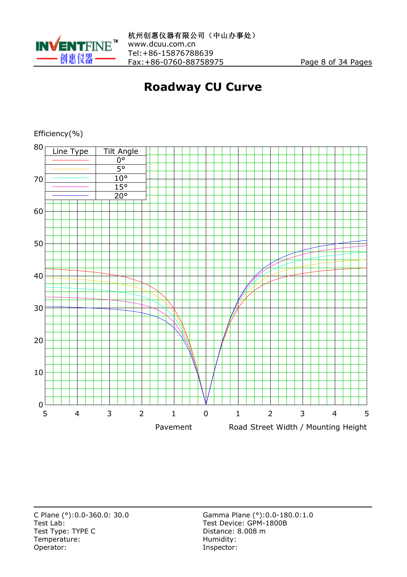

# **Roadway CU Curve**



Efficiency(%)

Test Lab: Test Device: GPM-1800B Test Type: TYPE C<br>
Temperature: Contract Contract Contract Contract Contract Contract Contract Contract Contract Contract Contract Contract Contract Contract Contract Contract Contract Contract Contract Contract Contract C Temperature:<br>Operator:

C Plane (°):0.0-360.0: 30.0 Gamma Plane (°):0.0-180.0:1.0 Inspector: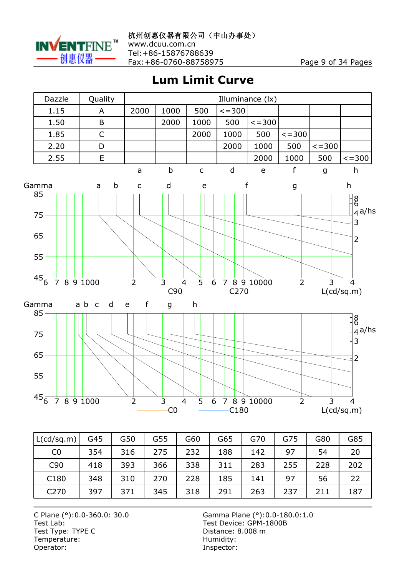

**Lum Limit Curve**



| L(cd/sq.m)      | G45 | G50 | G55 | G60 | G65 | G70 | G75 | G80 | G85 |
|-----------------|-----|-----|-----|-----|-----|-----|-----|-----|-----|
| CO              | 354 | 316 | 275 | 232 | 188 | 142 | 97  | 54  | 20  |
| C <sub>90</sub> | 418 | 393 | 366 | 338 | 311 | 283 | 255 | 228 | 202 |
| C180            | 348 | 310 | 270 | 228 | 185 | 141 | 97  | 56  | 22  |
| C270            | 397 | 371 | 345 | 318 | 291 | 263 | 237 | 211 | 187 |

Test Lab: Test Device: GPM-1800B Test Type: TYPE C<br>
Temperature: COME Distance: 8.008 m<br>
Humidity: Temperature:<br>Operator:

C Plane (°):0.0-360.0: 30.0 Gamma Plane (°):0.0-180.0:1.0 Inspector: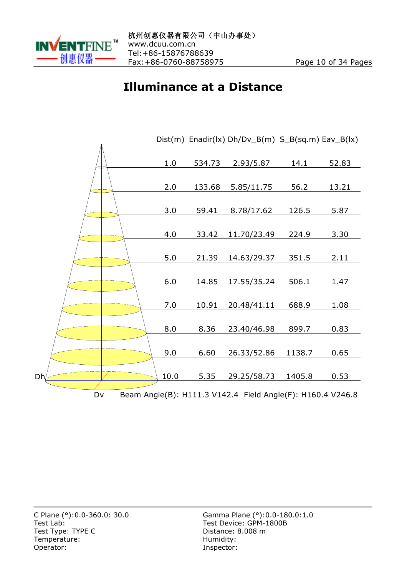

#### **Illuminance at a Distance**

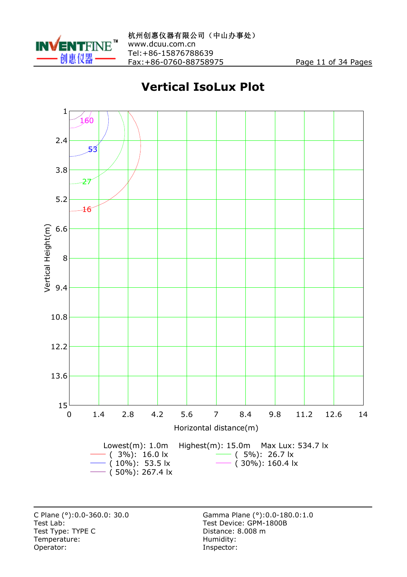

# **Vertical IsoLux Plot**



Test Lab: Test Device: GPM-1800B Test Type: TYPE C<br>
Temperature: Contract Contract Contract Contract Contract Contract Contract Contract Contract Contract Contract Contract Contract Contract Contract Contract Contract Contract Contract Contract Contract C  $Temperature:$ Operator: Inspector:

C Plane (°):0.0-360.0: 30.0 Gamma Plane (°):0.0-180.0:1.0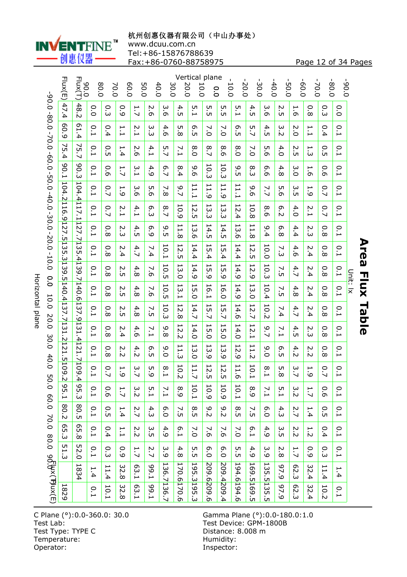

**杭州创惠仪器有限公司(中山办事处)**

www.dcuu.com.cn

Tel:+86-15876788639

Fax:+86-0760-88758975 Page 12 of 34 Pages

|                                                                                                                                                                                                                                                                    | Flux(E)                          | Flux(T)<br>0.06                      | 80.0                           | 70.0                                | 60.0                          | 50.0          | 40.0              | 30.0                 | 20.0                                                      | Vertical plane<br>10.0                      | o<br>o                                           | 10.0                                             | $-20.0$                                                    | 30.0                     | $-40.0$           | $-50.0$               | 0.0         | $-70.0$          | 80.0                   | 0.06                           |          |
|--------------------------------------------------------------------------------------------------------------------------------------------------------------------------------------------------------------------------------------------------------------------|----------------------------------|--------------------------------------|--------------------------------|-------------------------------------|-------------------------------|---------------|-------------------|----------------------|-----------------------------------------------------------|---------------------------------------------|--------------------------------------------------|--------------------------------------------------|------------------------------------------------------------|--------------------------|-------------------|-----------------------|-------------|------------------|------------------------|--------------------------------|----------|
|                                                                                                                                                                                                                                                                    | 47.4                             | $48$<br><br>N                        | $\overline{0}$                 | ن<br>بن                             | 0.9                           | 1.7           | N<br>آن           | ω<br>ō۱              | 4.<br>UП                                                  | UП<br>을                                     | UП<br>ÜП                                         | UП<br>ūп                                         | $\frac{5}{1}$                                              | 4.<br>üп                 | ω<br>.<br>ഗ       | N<br>ÜЛ               | ⊢<br>.<br>G | 0<br>.<br>∞      | 0<br>سآ                | 0.0                            |          |
|                                                                                                                                                                                                                                                                    | 80<br>ە:                         | 61.4                                 | 0.1                            | 0.4                                 | $\overline{1}$                | $\frac{2}{1}$ | ω<br>ڛ۬           | 4.6                  | UП<br>$\infty$                                            | თ<br>üп                                     | ↘<br>ö                                           | ↘<br>ö                                           | თ<br>üп                                                    | 5.7                      | 4.5               | ω<br>$\tilde{\omega}$ | 2.0         | $\overline{1}$ . | 0.4                    | 0.1                            |          |
|                                                                                                                                                                                                                                                                    | Σ,<br>$\overline{\mathbf{4}}$    | 75.7                                 | 0.1                            | о.<br>С                             | ⊢<br>4                        | N<br>.<br>G   | 4.1               | UП<br>Ñ              | $\overline{2}$ .1                                         | 8.0                                         | 8.7                                              | ∞<br>ö                                           | 8.0                                                        | $\overline{7.0}$         | UП<br>ö           | 4.0                   | N<br>üп     | ⊢<br>س           | 0<br>üп                | 0.1                            |          |
|                                                                                                                                                                                                                                                                    | 00.1                             | 90.3                                 | 0.1                            | 0.6                                 | ⊢<br>.<br>N                   | ب<br>1        | 4<br>ە:           | 6.7                  | ∞<br>$\ddot{4}$                                           | 0<br>$\overline{c}$                         | 10.3                                             | $\overline{\phantom{0}}$<br>ن<br>ت               | 6<br>üп                                                    | $^\infty$<br>سن          | თ<br>.<br>G       | 4<br>$\infty$         | 3.0         | ⊢<br>.<br>G      | $\circ$<br>.<br>G      | 0.1                            |          |
|                                                                                                                                                                                                                                                                    | 104.2116                         |                                      | 0.1                            | 0.7                                 | ⊢<br>ە:                       | ω<br>.<br>თ   | UП<br>ō۱          | ↘<br>$\infty$        | 6.7                                                       | ⊢<br>H<br>$\overline{\phantom{0}}$          | $\overline{\phantom{0}}$<br>H,<br>$\overline{Q}$ | $\overline{\phantom{0}}$<br>H.<br>$\overline{Q}$ | ⊢<br>H<br>$\overline{\phantom{0}}$                         | 0<br>.<br>G              | 7.7               | UП<br>.<br>G          | ω<br>üп     | ⊢<br>ە:          | 0.7                    | 0.1                            |          |
| $0.08 - 0.08 - 0.00 - 0.00 - 0.00 - 0.00 - 0.00 - 0.00 - 0.00 - 0.00 - 0.00 - 0.00 - 0.00 - 0.00 - 0.00 - 0.00 - 0.00 - 0.00 - 0.00 - 0.00 - 0.00 - 0.00 - 0.00 - 0.00 - 0.00 - 0.00 - 0.00 - 0.00 - 0.00 - 0.00 - 0.00 - 0.00 - 0.00 - 0.00 - 0.00 - 0.00 - 0.00$ | <u>ن</u>                         | 104.4117.11127.7135.4139.7140.6137.9 | 0.1                            | 0.7                                 | 2.1                           | 4.1           | თ<br>سَ           | 8.7                  | 10.9                                                      | 12.<br>ūп                                   | $\overline{\phantom{0}}$<br>ني<br>س              | 13<br>سآ                                         | $\overline{\phantom{0}}$<br>Ņ.<br>$\overline{\mathbf{4}}$  | 10.8                     | ∞<br>.<br>ഗ       | თ<br>$\sim$           | 4.0         | 2.1              | 0.7                    | 0.1                            |          |
|                                                                                                                                                                                                                                                                    | $\overline{12}$<br><br><u>Сп</u> |                                      | 0.<br>$\overline{\phantom{0}}$ | Ο.<br>$\infty$                      | Ņ.<br>سَ                      | 4.5           | თ<br>م            | ە.<br><b>Uπ</b>      | $\overline{11}$<br>ō                                      | 53<br>$\frac{1}{\alpha}$                    | 14.5                                             | 14.5                                             | 13<br>$\frac{1}{\alpha}$                                   | $\overline{1}$<br>.<br>თ | ە<br>4            | თ<br>$\infty$         | 4.4         | 2.3              | 0.<br>$\infty$         | Ο.<br>$\overline{\phantom{0}}$ |          |
| $-20.0 - 10.0$                                                                                                                                                                                                                                                     | 11<br>35                         |                                      | 0.1                            | 0.8                                 | 2.4                           | 4.7           | 7.4               | 10.1                 | $\overline{C}$<br>ūп                                      | $\overline{\phantom{0}}$<br>.<br>4.4        | 51<br>4.                                         | ⊢<br>UП<br>∔                                     | H<br>.<br>4.4                                              | $\overline{c}$<br>üп     | 10.0              | 7.3                   | 4.6         | N<br>∔`          | $\circ$<br>.<br>∞      | 0.1                            |          |
| 0.0                                                                                                                                                                                                                                                                | .3139.5                          |                                      | 0.1                            | Ο.<br>$\infty$                      | Ņ<br>UП                       | 4.8           | $\mathbf{N}$<br>Ō | 10.5                 | 53<br>ö                                                   | 14.9                                        | 55<br>ە:                                         | 55<br>ە:                                         | 14.9                                                       | 12.9                     | 10.3              | 7.5                   | 4.7         | 2.4              | 0.<br>$\infty$         | 0.1                            | Unit: lx |
| 10.0                                                                                                                                                                                                                                                               | 140.413                          |                                      | 0.1                            | 0<br>.<br>∞                         | N<br>üп                       | 4.8           | ↘<br>.<br>G       | $\overline{0}$<br>üп | 13<br>÷,                                                  | 55<br>$\overline{\mathsf{C}}$               | 50<br>÷,                                         | $\overline{\phantom{0}}$<br>$\sigma$<br>்        | 14.9                                                       | 13.0                     | 10.4              | ↘<br>üп               | 4.8         | N<br>∔           | 0<br>ō۵                | 0.1                            |          |
| 20.0                                                                                                                                                                                                                                                               | i7.<br>Z                         |                                      | 0.1                            | 0.8                                 | 2.5                           | 4.8           | у.                | 10.3                 | $\overline{5}$<br>$\infty$                                | 14.7                                        | 15.7                                             | ⊢<br>5.7                                         | 14.6                                                       | 12.7                     | 10.2              | 7.4                   | 4.7         | 2.4              | $\circ$<br>.<br>∞      | 0.1                            |          |
| 30.0                                                                                                                                                                                                                                                               | $\overline{131}$<br><u>نہ</u>    | 131.4121.7109.4                      | 0.1                            | 0<br>$\dot{\infty}$                 | N<br>4.                       | 4.6           | $\overline{1}$    | ဖ<br>$\infty$        | $\overline{c}$<br>$\sim$                                  | 14.0                                        | 51<br>்                                          | 55<br>$\circ$                                    | 14.0                                                       | 12.1                     | 6.7               | 7.1                   | 4.5         | N<br>س           | 0<br>$\infty$          | 0.1                            |          |
| 40.0                                                                                                                                                                                                                                                               | 121                              |                                      | 0.1                            | 0<br>.<br>∞                         | 2.2                           | 4.2           | თ<br>üп           | 9.0                  | $\overline{\phantom{0}}$<br>$\overline{\phantom{a}}$<br>ω | $\overline{\phantom{0}}$<br>ω<br>Ο          | $\overline{\phantom{0}}$<br>$\omega$<br>ق        | $\overline{\phantom{0}}$<br>$\omega$<br>$\circ$  | $\overline{\phantom{0}}$<br>$\boldsymbol{\mathsf{N}}$<br>ق | 11.2                     | 0<br>ö            | თ<br>üп               | 4.2         | N<br>.<br>N      | 0<br>.<br>∞            | 0.1                            |          |
| CΠ                                                                                                                                                                                                                                                                 | <b>51109</b><br>$\sim$           |                                      | 0.1                            | 0.7                                 | ⊢<br>ە:                       | 3.7           | UП<br>ە:          | $^\infty$<br>Ĥ       | 10.2                                                      | $\overline{11}$<br>$\overline{\phantom{0}}$ | 12.<br>ūп                                        | 12<br><b>υ</b>                                   | 11.6                                                       | 10.1                     | $\infty$<br>÷,    | UП<br>$\infty$        | 3.7         | 1.9              | 0.7                    | 0.1                            |          |
| 0.0<br>60.0                                                                                                                                                                                                                                                        | م<br>$\frac{5}{1}$               | 95.3                                 | 0.1                            | 0.6                                 | 1.7                           | 3.2           | г.<br>1           | $\overline{7.1}$     | 8.9                                                       | 10.1                                        | 10.9                                             | 10.9                                             | 10.1                                                       | 8.9                      | $\overline{7.1}$  | 5.1                   | 3.2         | 1.7              | 0.6                    | $\overline{C}$                 |          |
| 70.0                                                                                                                                                                                                                                                               | 80.2                             | 80.5                                 | 0.1                            | О.<br>Ю                             | 1.4                           | 2.7           | 4.3               | 6.0                  | 7.5                                                       | 8.5                                         | $\frac{9}{2}$                                    | 9.2                                              | ${}^{\circ}$<br>üп                                         | 7.5                      | $\overline{0}$ .0 | 4.3                   | 2.7         | 1.4              | О.<br>Ю                | 0.1                            |          |
| 80.0                                                                                                                                                                                                                                                               | თ<br>ūп<br>ن                     | 85.8                                 | 0.1                            | 0.4                                 | 1.1                           | 2.2           | ς<br>S            | 4.9                  | 6.1                                                       | $\overline{7.0}$                            | 7.6                                              | 7.6                                              | $\overline{7.0}$                                           | 6.1                      | 4.9               | 3.5                   | 2.2         | 1.2              | 0.4                    | 0.1                            |          |
|                                                                                                                                                                                                                                                                    | 51.3                             | 52.0                                 | 0.1                            | o.<br>G                             | 0.9                           | 1.7           | 2.7               | 3.9                  | 4.<br>$\infty$                                            | с.<br>С                                     | 6.0                                              | 6.0                                              | с.<br>С                                                    | 4.9                      | 3.9               | Ņ.<br>$\infty$        | 1.7         | 0.9              | Ο.<br>سَ               | 0.1                            |          |
| 9d.bx(F)ux(E                                                                                                                                                                                                                                                       |                                  | 1834                                 | 1.4                            | ⊢<br>$\overline{\phantom{0}}$<br>4. | 32.<br>$\stackrel{.}{\infty}$ | E3.1          | <b>59.1</b>       | 136.7136.7           | 170.6170.6                                                | 195.3195.3                                  | 209.6209.6                                       | 209.4209.4                                       | 194.6194.6                                                 | 169.5169.5               | 135.5135.5        | 67.9                  | 62.3        | 32.4             | ⊢<br>$\overline{1}$ .4 | 1.4                            |          |
|                                                                                                                                                                                                                                                                    | 1829                             |                                      | 0.1                            | 10.1                                | 32.8                          | E3.1          | 59.1              |                      |                                                           |                                             |                                                  |                                                  |                                                            |                          |                   | 97.9                  | 62.3        | 32.4             | 10.2                   | 0.1                            |          |

C Plane (°):0.0-360.0: 30.0<br>Test Lab:<br>Test Type: TYPE C Temperature:<br>Operator:

Horizontal plane

Horizontal plane

Gamma Plane (°): 0.0-180.0: 1.0<br>Test Device: GPM-1800B Distance: 8.008 m<br>Humidity: Inspector:

**Area Flux Table Area Flux Table**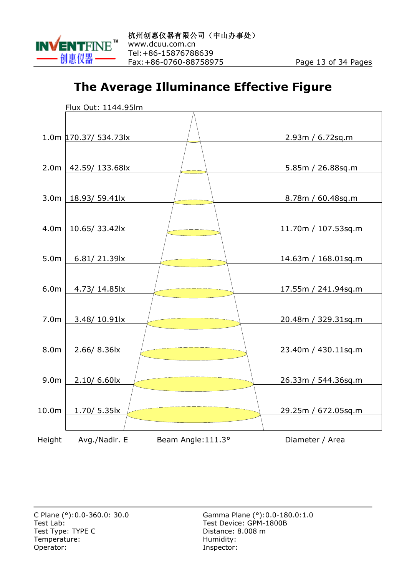

#### **The Average Illuminance Effective Figure**

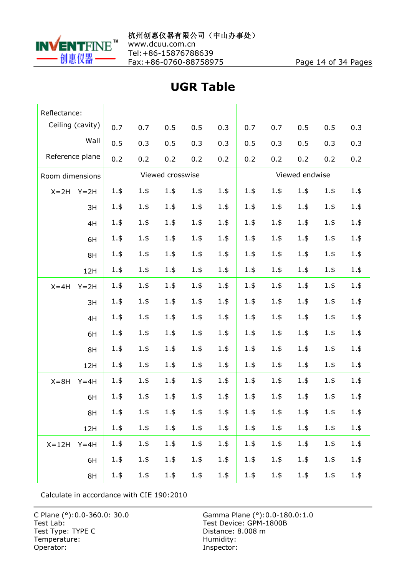

Tel:+86-15876788639 Fax:+86-0760-88758975 Page 14 of 34 Pages

| Reflectance:          |         |         |                  |         |         |         |         |                |         |         |
|-----------------------|---------|---------|------------------|---------|---------|---------|---------|----------------|---------|---------|
| Ceiling (cavity)      | 0.7     | 0.7     | 0.5              | 0.5     | 0.3     | 0.7     | 0.7     | 0.5            | 0.5     | 0.3     |
| Wall                  | 0.5     | 0.3     | 0.5              | 0.3     | 0.3     | 0.5     | 0.3     | 0.5            | 0.3     | 0.3     |
| Reference plane       | 0.2     | 0.2     | 0.2              | 0.2     | 0.2     | 0.2     | 0.2     | 0.2            | 0.2     | 0.2     |
| Room dimensions       |         |         | Viewed crosswise |         |         |         |         | Viewed endwise |         |         |
| $X = 2H$<br>$Y = 2H$  | $1.$ \$ | 1.5     | 1.5              | 1.5     | 1.5     | 1.5     | 1.5     | 1.5            | 1.5     | 1.5     |
| 3H                    | $1.$ \$ | 1.5     | 1.5              | 1.5     | 1.5     | 1.5     | 1.5     | 1.5            | 1.5     | $1.$ \$ |
| 4H                    | 1.5     | 1.5     | 1.5              | 1.5     | 1.5     | 1.5     | 1.5     | 1.5            | $1.$ \$ | $1.$ \$ |
| 6H                    | 1.5     | 1.5     | 1.5              | 1.5     | 1.5     | 1.5     | 1.5     | 1.5            | 1.5     | $1.$ \$ |
| 8H                    | $1.$ \$ | 1.5     | 1.5              | 1.5     | 1.5     | 1.5     | 1.5     | 1.5            | 1.5     | $1.$ \$ |
| 12H                   | 1.5     | 1.5     | 1.5              | 1.5     | 1.5     | 1.5     | 1.5     | 1.5            | 1.5     | $1.$ \$ |
| $X = 4H$<br>$Y = 2H$  | $1.$ \$ | 1.5     | 1.5              | 1.5     | 1.5     | 1.5     | 1.5     | $1.$ \$        | 1.5     | 1.5     |
| 3H                    | $1.$ \$ | 1.5     | 1.5              | 1.5     | 1.5     | 1.5     | 1.5     | 1.5            | 1.5     | $1.$ \$ |
| 4H                    | $1.$ \$ | 1.5     | 1.5              | 1.5     | 1.5     | 1.5     | 1.5     | 1.5            | 1.5     | $1.$ \$ |
| 6H                    | $1.$ \$ | 1.5     | 1.5              | 1.5     | $1.$ \$ | 1.5     | 1.5     | 1.5            | 1.5     | $1.$ \$ |
| 8H                    | 1.5     | 1.5     | 1.5              | 1.5     | 1.5     | 1.5     | 1.5     | 1.5            | 1.5     | $1.$ \$ |
| 12H                   | 1.5     | 1.5     | 1.5              | 1.5     | 1.5     | 1.5     | 1.5     | 1.5            | 1.5     | $1.$ \$ |
| $X = 8H$<br>$Y = 4H$  | $1.$ \$ | 1.5     | 1.5              | 1.5     | 1.5     | 1.5     | 1.5     | 1.5            | 1.5     | 1.5     |
| 6H                    | 1.5     | 1.5     | 1.5              | 1.5     | 1.5     | 1.5     | $1.$ \$ | $1.$ \$        | 1.5     | $1.$ \$ |
| 8H                    | $1.$ \$ | $1.$ \$ | $1.$ \$          | $1.$ \$ | $1.$ \$ | $1.$ \$ | $1.$ \$ | 1.5            | $1.$ \$ | $1.$ \$ |
| 12H                   | $1.$ \$ | $1.$ \$ | $1.$ \$          | $1.$ \$ | $1.$ \$ | $1.$ \$ | $1.$ \$ | 1.5            | $1.$ \$ | $1.$ \$ |
| $X = 12H$<br>$Y = 4H$ | 1.5     | 1.5     | $1.$ \$          | 1.5     | 1.5     | $1.$ \$ | 1.5     | 1.5            | $1.$ \$ | $1.$ \$ |
| 6H                    | 1.5     | $1.$ \$ | $1.$ \$          | $1.$ \$ | 1.5     | $1.$ \$ | $1.$ \$ | 1.5            | $1.$ \$ | $1.$ \$ |
| 8H                    | $1.$ \$ | $1.$ \$ | $1.$ \$          | $1.$ \$ | $1.$ \$ | $1.$ \$ | $1.$ \$ | 1.5            | $1.$ \$ | $1.$ \$ |

## **UGR Table**

Calculate in accordance with CIE 190:2010

Test Lab: Test Device: GPM-1800B Test Type: TYPE C<br>
Temperature: Contract Contract Contract Contract Contract Contract Contract Contract Contract Contract Contract Contract Contract Contract Contract Contract Contract Contract Contract Contract Contract C Temperature:<br>Operator:

C Plane (°):0.0-360.0: 30.0 Gamma Plane (°):0.0-180.0:1.0 Inspector: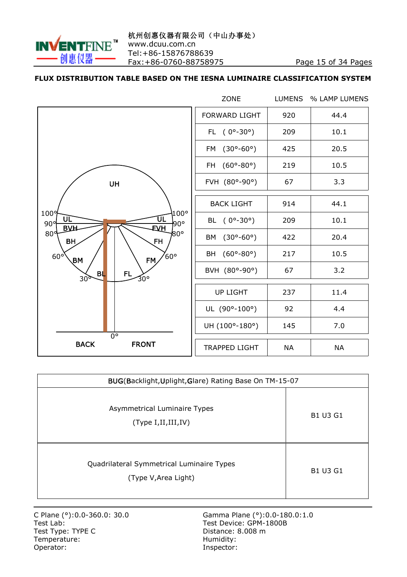

#### **FLUX DISTRIBUTION TABLE BASED ON THE IESNA LUMINAIRE CLASSIFICATION SYSTEM**

|                                                                                         | ZONE                                     | <b>LUMENS</b> | % LAMP LUMENS |  |
|-----------------------------------------------------------------------------------------|------------------------------------------|---------------|---------------|--|
|                                                                                         | <b>FORWARD LIGHT</b>                     | 920           | 44.4          |  |
|                                                                                         | FL $(0^{\circ} - 30^{\circ})$            | 209           | 10.1          |  |
|                                                                                         | $(30^{\circ} - 60^{\circ})$<br><b>FM</b> | 425           | 20.5          |  |
|                                                                                         | FH (60°-80°)                             | 219           | 10.5          |  |
| <b>UH</b>                                                                               | FVH (80°-90°)                            | 67            | 3.3           |  |
|                                                                                         | <b>BACK LIGHT</b>                        | 914           | 44.1          |  |
| $100^{\circ}$<br>1009<br>ŪL<br>UL<br>90 <sup>o</sup><br>90°<br><b>EVH</b><br><b>BVH</b> | BL $(0^{\circ} - 30^{\circ})$            | 209           | 10.1          |  |
| 80 <sup>d</sup><br>/80°<br>BH<br><b>FH</b>                                              | BM (30°-60°)                             | 422           | 20.4          |  |
| $^{\prime}$ 60°<br>$60^{\circ}$<br>FM<br>$\mathsf{BM}$                                  | BH (60°-80°)                             | 217           | 10.5          |  |
| FL.<br><b>BL</b><br>30°<br>30 <sub>9</sub>                                              | BVH (80°-90°)                            | 67            | 3.2           |  |
|                                                                                         | <b>UP LIGHT</b>                          | 237           | 11.4          |  |
|                                                                                         | UL (90°-100°)                            | 92            | 4.4           |  |
| $\overline{0}$ °                                                                        | UH (100°-180°)                           | 145           | 7.0           |  |
| <b>BACK</b><br><b>FRONT</b>                                                             | <b>TRAPPED LIGHT</b>                     | <b>NA</b>     | <b>NA</b>     |  |

| BUG(Backlight, Uplight, Glare) Rating Base On TM-15-07            |                 |  |  |  |  |  |  |
|-------------------------------------------------------------------|-----------------|--|--|--|--|--|--|
| Asymmetrical Luminaire Types<br>(Type I, II, III, IV)             | <b>B1 U3 G1</b> |  |  |  |  |  |  |
| Quadrilateral Symmetrical Luminaire Types<br>(Type V, Area Light) | <b>B1 U3 G1</b> |  |  |  |  |  |  |

Test Type: TYPE C<br>
Temperature: Contract Contract Contract Contract Contract Contract Contract Contract Contract Contract Contract Contract Contract Contract Contract Contract Contract Contract Contract Contract Contract C Temperature:<br>Operator:

C Plane (°):0.0-360.0: 30.0 Gamma Plane (°):0.0-180.0:1.0<br>Test Lab: General Assemblance Computer Service: GPM-1800B Test Device: GPM-1800B Inspector: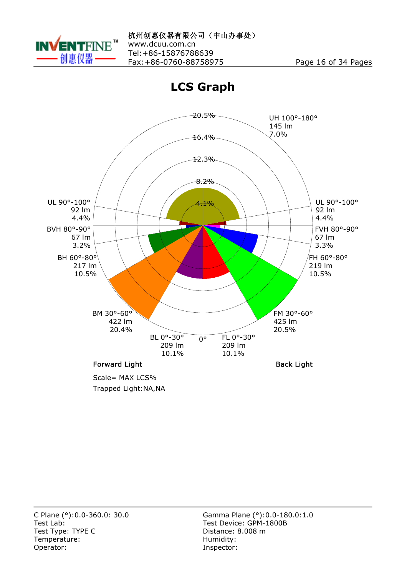

**LCS Graph**



Trapped Light:NA,NA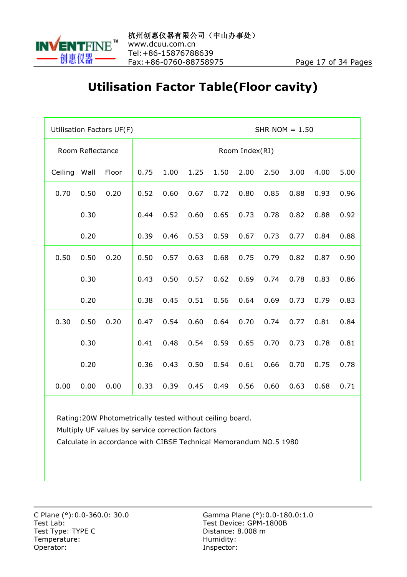

#### **Utilisation Factor Table(Floor cavity)**

|         |                  | Utilisation Factors UF(F) | SHR NOM $= 1.50$ |      |      |      |                |      |      |      |      |  |
|---------|------------------|---------------------------|------------------|------|------|------|----------------|------|------|------|------|--|
|         | Room Reflectance |                           |                  |      |      |      | Room Index(RI) |      |      |      |      |  |
| Ceiling | Wall             | Floor                     | 0.75             | 1.00 | 1.25 | 1.50 | 2.00           | 2.50 | 3.00 | 4.00 | 5.00 |  |
| 0.70    | 0.50             | 0.20                      | 0.52             | 0.60 | 0.67 | 0.72 | 0.80           | 0.85 | 0.88 | 0.93 | 0.96 |  |
|         | 0.30             |                           | 0.44             | 0.52 | 0.60 | 0.65 | 0.73           | 0.78 | 0.82 | 0.88 | 0.92 |  |
|         | 0.20             |                           | 0.39             | 0.46 | 0.53 | 0.59 | 0.67           | 0.73 | 0.77 | 0.84 | 0.88 |  |
| 0.50    | 0.50             | 0.20                      | 0.50             | 0.57 | 0.63 | 0.68 | 0.75           | 0.79 | 0.82 | 0.87 | 0.90 |  |
|         | 0.30             |                           | 0.43             | 0.50 | 0.57 | 0.62 | 0.69           | 0.74 | 0.78 | 0.83 | 0.86 |  |
|         | 0.20             |                           | 0.38             | 0.45 | 0.51 | 0.56 | 0.64           | 0.69 | 0.73 | 0.79 | 0.83 |  |
| 0.30    | 0.50             | 0.20                      | 0.47             | 0.54 | 0.60 | 0.64 | 0.70           | 0.74 | 0.77 | 0.81 | 0.84 |  |
|         | 0.30             |                           | 0.41             | 0.48 | 0.54 | 0.59 | 0.65           | 0.70 | 0.73 | 0.78 | 0.81 |  |
|         | 0.20             |                           | 0.36             | 0.43 | 0.50 | 0.54 | 0.61           | 0.66 | 0.70 | 0.75 | 0.78 |  |
| 0.00    | 0.00             | 0.00                      | 0.33             | 0.39 | 0.45 | 0.49 | 0.56           | 0.60 | 0.63 | 0.68 | 0.71 |  |

Rating:20W Photometrically tested without ceiling board.

Multiply UF values by service correction factors

Calculate in accordance with CIBSE Technical Memorandum NO.5 1980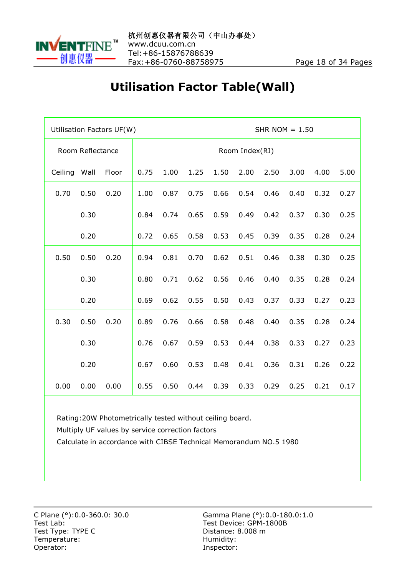

# **Utilisation Factor Table(Wall)**

|              |                  | Utilisation Factors UF(W) | SHR NOM $= 1.50$ |      |      |                |      |      |      |      |      |  |  |
|--------------|------------------|---------------------------|------------------|------|------|----------------|------|------|------|------|------|--|--|
|              | Room Reflectance |                           |                  |      |      | Room Index(RI) |      |      |      |      |      |  |  |
| Ceiling Wall |                  | Floor                     | 0.75             | 1.00 | 1.25 | 1.50           | 2.00 | 2.50 | 3.00 | 4.00 | 5.00 |  |  |
| 0.70         | 0.50             | 0.20                      | 1.00             | 0.87 | 0.75 | 0.66           | 0.54 | 0.46 | 0.40 | 0.32 | 0.27 |  |  |
|              | 0.30             |                           | 0.84             | 0.74 | 0.65 | 0.59           | 0.49 | 0.42 | 0.37 | 0.30 | 0.25 |  |  |
|              | 0.20             |                           | 0.72             | 0.65 | 0.58 | 0.53           | 0.45 | 0.39 | 0.35 | 0.28 | 0.24 |  |  |
| 0.50         | 0.50             | 0.20                      | 0.94             | 0.81 | 0.70 | 0.62           | 0.51 | 0.46 | 0.38 | 0.30 | 0.25 |  |  |
|              | 0.30             |                           | 0.80             | 0.71 | 0.62 | 0.56           | 0.46 | 0.40 | 0.35 | 0.28 | 0.24 |  |  |
|              | 0.20             |                           | 0.69             | 0.62 | 0.55 | 0.50           | 0.43 | 0.37 | 0.33 | 0.27 | 0.23 |  |  |
| 0.30         | 0.50             | 0.20                      | 0.89             | 0.76 | 0.66 | 0.58           | 0.48 | 0.40 | 0.35 | 0.28 | 0.24 |  |  |
|              | 0.30             |                           | 0.76             | 0.67 | 0.59 | 0.53           | 0.44 | 0.38 | 0.33 | 0.27 | 0.23 |  |  |
|              | 0.20             |                           | 0.67             | 0.60 | 0.53 | 0.48           | 0.41 | 0.36 | 0.31 | 0.26 | 0.22 |  |  |
| 0.00         | 0.00             | 0.00                      | 0.55             | 0.50 | 0.44 | 0.39           | 0.33 | 0.29 | 0.25 | 0.21 | 0.17 |  |  |

Rating:20W Photometrically tested without ceiling board.

Multiply UF values by service correction factors

Calculate in accordance with CIBSE Technical Memorandum NO.5 1980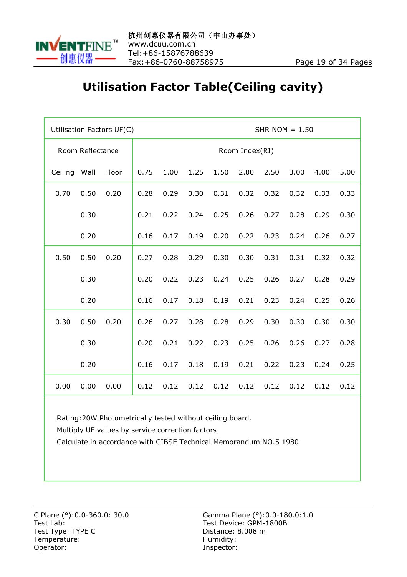

#### **Utilisation Factor Table(Ceiling cavity)**

|         |                  | Utilisation Factors UF(C) | SHR NOM $= 1.50$ |      |      |      |                |      |      |      |      |  |
|---------|------------------|---------------------------|------------------|------|------|------|----------------|------|------|------|------|--|
|         | Room Reflectance |                           |                  |      |      |      | Room Index(RI) |      |      |      |      |  |
| Ceiling | Wall             | Floor                     | 0.75             | 1.00 | 1.25 | 1.50 | 2.00           | 2.50 | 3.00 | 4.00 | 5.00 |  |
| 0.70    | 0.50             | 0.20                      | 0.28             | 0.29 | 0.30 | 0.31 | 0.32           | 0.32 | 0.32 | 0.33 | 0.33 |  |
|         | 0.30             |                           | 0.21             | 0.22 | 0.24 | 0.25 | 0.26           | 0.27 | 0.28 | 0.29 | 0.30 |  |
|         | 0.20             |                           | 0.16             | 0.17 | 0.19 | 0.20 | 0.22           | 0.23 | 0.24 | 0.26 | 0.27 |  |
| 0.50    | 0.50             | 0.20                      | 0.27             | 0.28 | 0.29 | 0.30 | 0.30           | 0.31 | 0.31 | 0.32 | 0.32 |  |
|         | 0.30             |                           | 0.20             | 0.22 | 0.23 | 0.24 | 0.25           | 0.26 | 0.27 | 0.28 | 0.29 |  |
|         | 0.20             |                           | 0.16             | 0.17 | 0.18 | 0.19 | 0.21           | 0.23 | 0.24 | 0.25 | 0.26 |  |
| 0.30    | 0.50             | 0.20                      | 0.26             | 0.27 | 0.28 | 0.28 | 0.29           | 0.30 | 0.30 | 0.30 | 0.30 |  |
|         | 0.30             |                           | 0.20             | 0.21 | 0.22 | 0.23 | 0.25           | 0.26 | 0.26 | 0.27 | 0.28 |  |
|         | 0.20             |                           | 0.16             | 0.17 | 0.18 | 0.19 | 0.21           | 0.22 | 0.23 | 0.24 | 0.25 |  |
| 0.00    | 0.00             | 0.00                      | 0.12             | 0.12 | 0.12 | 0.12 | 0.12           | 0.12 | 0.12 | 0.12 | 0.12 |  |

Rating:20W Photometrically tested without ceiling board.

Multiply UF values by service correction factors

Calculate in accordance with CIBSE Technical Memorandum NO.5 1980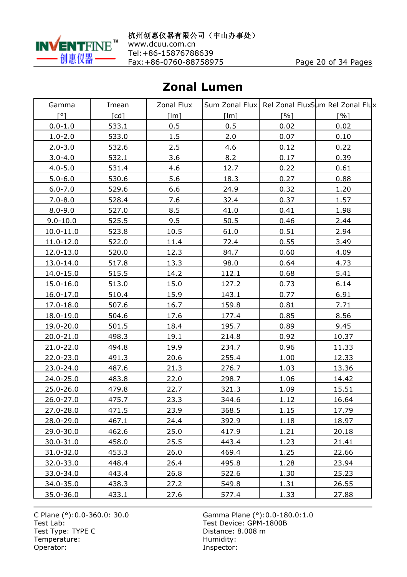

#### **Zonal Lumen**

| Gamma         | Imean              | Zonal Flux |              |                   | Sum Zonal Flux Rel Zonal FluxSum Rel Zonal Flux |
|---------------|--------------------|------------|--------------|-------------------|-------------------------------------------------|
| [°]           | $\lceil cd \rceil$ | [Im]       | [Im]         | $\lceil % \rceil$ | $\lceil \frac{0}{0} \rceil$                     |
| $0.0 - 1.0$   | 533.1              | 0.5        | 0.5          | 0.02              | 0.02                                            |
| $1.0 - 2.0$   | 533.0              | 1.5        | 2.0          | 0.07              | 0.10                                            |
| $2.0 - 3.0$   | 532.6              | 2.5        | 4.6          | 0.12              | 0.22                                            |
| $3.0 - 4.0$   | 532.1              | 3.6        | 8.2          | 0.17              | 0.39                                            |
| $4.0 - 5.0$   | 531.4              | 4.6        | 12.7         | 0.22              | 0.61                                            |
| $5.0 - 6.0$   | 530.6              | 5.6        | 18.3         | 0.27              | 0.88                                            |
| $6.0 - 7.0$   | 529.6              | 6.6        | 24.9         | 0.32              | 1.20                                            |
| $7.0 - 8.0$   | 528.4              | 7.6        | 32.4         | 0.37              | 1.57                                            |
| $8.0 - 9.0$   | 527.0              | 8.5        | 41.0         | 0.41              | 1.98                                            |
| $9.0 - 10.0$  | 525.5              | 9.5        | 50.5         | 0.46              | 2.44                                            |
| $10.0 - 11.0$ | 523.8              | 10.5       | 61.0         | 0.51              | 2.94                                            |
| 11.0-12.0     | 522.0              | 11.4       | 72.4         | 0.55              | 3.49                                            |
| 12.0-13.0     | 520.0              | 12.3       | 84.7         | 0.60              | 4.09                                            |
| 13.0-14.0     | 517.8              | 13.3       | 98.0         | 0.64              | 4.73                                            |
| 14.0-15.0     | 515.5              | 14.2       | 112.1        | 0.68              | 5.41                                            |
| 15.0-16.0     | 513.0              | 15.0       | 127.2        | 0.73              | 6.14                                            |
| $16.0 - 17.0$ | 510.4              | 15.9       | 143.1        | 0.77              | 6.91                                            |
| 17.0-18.0     | 507.6              | 16.7       | 159.8        | 0.81              | 7.71                                            |
| 18.0-19.0     | 504.6              | 17.6       | 177.4        | 0.85              | 8.56                                            |
| 19.0-20.0     | 501.5              | 18.4       | 195.7        | 0.89              | 9.45                                            |
| 20.0-21.0     | 498.3              | 19.1       | 214.8        | 0.92              | 10.37                                           |
| 21.0-22.0     | 494.8              | 19.9       | 234.7        | 0.96              | 11.33                                           |
| 22.0-23.0     | 491.3              | 20.6       | 255.4        | 1.00              | 12.33                                           |
| 23.0-24.0     | 487.6              | 21.3       | 276.7        | 1.03              | 13.36                                           |
| 24.0-25.0     | 483.8              | 22.0       | 298.7        | 1.06              | 14.42                                           |
| 25.0-26.0     | 479.8              | 22.7       | 321.3        | 1.09              | 15.51                                           |
| 26.0-27.0     | 475.7              | 23.3       | 344.6        | 1.12              | 16.64                                           |
| 27.0-28.0     | 471.5              | 23.9       | 368.5        | 1.15              | 17.79                                           |
| 28.0-29.0     | 467.1              | 24.4       | 392.9        | 1.18              | 18.97                                           |
| 29.0-30.0     | 462.6              | 25.0       | 417.9        | 1.21              | 20.18                                           |
| 30.0-31.0     | 458.0              | 25.5       | 443.4        | 1.23              | 21.41                                           |
| $31.0 - 32.0$ | <u>453.3</u>       | 26.0       | 469.4        | 1.25              | 22.66                                           |
| 32.0-33.0     | 448.4              | 26.4       | 495.8        | 1.28              | 23.94                                           |
| 33.0-34.0     | 443.4              | 26.8       | 522.6        | 1.30              | 25.23                                           |
| 34.0-35.0     | <u>438.3</u>       | 27.2       | 549.8        | <u>1.31</u>       | 26.55                                           |
| 35.0-36.0     | 433.1              | 27.6       | <u>577.4</u> | 1.33              | 27.88                                           |

Test Lab: Test Device: GPM-1800B Test Type: TYPE C<br>
Temperature: Contract Contract Contract Contract Contract Contract Contract Contract Contract Contract Contract Contract Contract Contract Contract Contract Contract Contract Contract Contract Contract C Temperature:<br>Operator:

C Plane (°):0.0-360.0: 30.0 Gamma Plane (°):0.0-180.0:1.0 Inspector: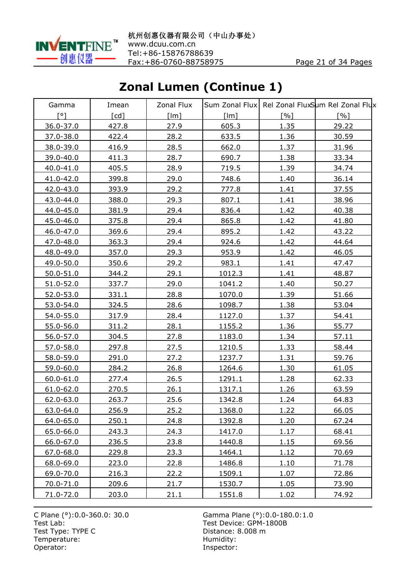

# **Zonal Lumen (Continue 1)**

| Gamma         | Imean              | Zonal Flux |        |      | Sum Zonal Flux Rel Zonal FluxSum Rel Zonal Flux |
|---------------|--------------------|------------|--------|------|-------------------------------------------------|
| ۲°۱           | $\lceil cd \rceil$ | [Im]       | [lm]   | [%]  | [%]                                             |
| 36.0-37.0     | 427.8              | 27.9       | 605.3  | 1.35 | 29.22                                           |
| 37.0-38.0     | 422.4              | 28.2       | 633.5  | 1.36 | 30.59                                           |
| 38.0-39.0     | 416.9              | 28.5       | 662.0  | 1.37 | 31.96                                           |
| 39.0-40.0     | 411.3              | 28.7       | 690.7  | 1.38 | 33.34                                           |
| $40.0 - 41.0$ | 405.5              | 28.9       | 719.5  | 1.39 | 34.74                                           |
| 41.0-42.0     | 399.8              | 29.0       | 748.6  | 1.40 | 36.14                                           |
| 42.0-43.0     | 393.9              | 29.2       | 777.8  | 1.41 | 37.55                                           |
| 43.0-44.0     | 388.0              | 29.3       | 807.1  | 1.41 | 38.96                                           |
| 44.0-45.0     | 381.9              | 29.4       | 836.4  | 1.42 | 40.38                                           |
| $45.0 - 46.0$ | 375.8              | 29.4       | 865.8  | 1.42 | 41.80                                           |
| 46.0-47.0     | 369.6              | 29.4       | 895.2  | 1.42 | 43.22                                           |
| 47.0-48.0     | 363.3              | 29.4       | 924.6  | 1.42 | 44.64                                           |
| 48.0-49.0     | 357.0              | 29.3       | 953.9  | 1.42 | 46.05                                           |
| 49.0-50.0     | 350.6              | 29.2       | 983.1  | 1.41 | 47.47                                           |
| 50.0-51.0     | 344.2              | 29.1       | 1012.3 | 1.41 | 48.87                                           |
| 51.0-52.0     | 337.7              | 29.0       | 1041.2 | 1.40 | 50.27                                           |
| 52.0-53.0     | 331.1              | 28.8       | 1070.0 | 1.39 | 51.66                                           |
| 53.0-54.0     | 324.5              | 28.6       | 1098.7 | 1.38 | 53.04                                           |
| 54.0-55.0     | 317.9              | 28.4       | 1127.0 | 1.37 | 54.41                                           |
| 55.0-56.0     | 311.2              | 28.1       | 1155.2 | 1.36 | 55.77                                           |
| 56.0-57.0     | 304.5              | 27.8       | 1183.0 | 1.34 | 57.11                                           |
| 57.0-58.0     | 297.8              | 27.5       | 1210.5 | 1.33 | 58.44                                           |
| 58.0-59.0     | 291.0              | 27.2       | 1237.7 | 1.31 | 59.76                                           |
| 59.0-60.0     | 284.2              | 26.8       | 1264.6 | 1.30 | 61.05                                           |
| 60.0-61.0     | 277.4              | 26.5       | 1291.1 | 1.28 | 62.33                                           |
| 61.0-62.0     | 270.5              | 26.1       | 1317.1 | 1.26 | 63.59                                           |
| 62.0-63.0     | 263.7              | 25.6       | 1342.8 | 1.24 | 64.83                                           |
| 63.0-64.0     | 256.9              | 25.2       | 1368.0 | 1.22 | 66.05                                           |
| 64.0-65.0     | 250.1              | 24.8       | 1392.8 | 1.20 | 67.24                                           |
| 65.0-66.0     | <u>243.3</u>       | 24.3       | 1417.0 | 1.17 | 68.41                                           |
| 66.0-67.0     | 236.5              | 23.8       | 1440.8 | 1.15 | 69.56                                           |
| 67.0-68.0     | 229.8              | 23.3       | 1464.1 | 1.12 | 70.69                                           |
| 68.0-69.0     | 223.0              | 22.8       | 1486.8 | 1.10 | 71.78                                           |
| 69.0-70.0     | 216.3              | 22.2       | 1509.1 | 1.07 | 72.86                                           |
| 70.0-71.0     | 209.6              | 21.7       | 1530.7 | 1.05 | 73.90                                           |
| 71.0-72.0     | 203.0              | 21.1       | 1551.8 | 1.02 | <u>74.92 </u>                                   |

Test Type: TYPE C<br>
Temperature: Contract Contract Contract Contract Contract Contract Contract Contract Contract Contract Contract Contract Contract Contract Contract Contract Contract Contract Contract Contract Contract C Temperature:<br>Operator: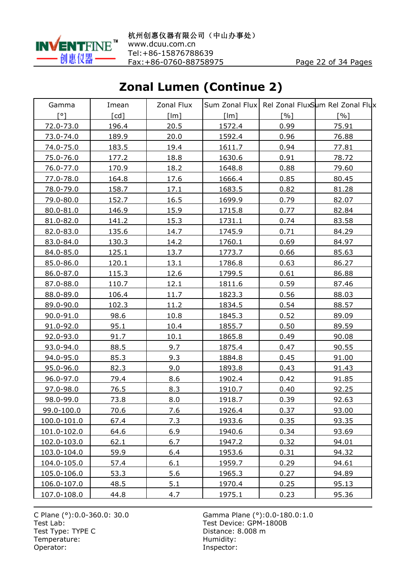

# **Zonal Lumen (Continue 2)**

| Gamma       | Imean              | Zonal Flux |               |      | Sum Zonal Flux Rel Zonal FluxSum Rel Zonal Flux |
|-------------|--------------------|------------|---------------|------|-------------------------------------------------|
| ۲°۱         | $\lceil cd \rceil$ | [Im]       | [lm]          | [%]  | $\lceil % \rceil$                               |
| 72.0-73.0   | 196.4              | 20.5       | 1572.4        | 0.99 | 75.91                                           |
| 73.0-74.0   | 189.9              | 20.0       | 1592.4        | 0.96 | 76.88                                           |
| 74.0-75.0   | 183.5              | 19.4       | 1611.7        | 0.94 | 77.81                                           |
| 75.0-76.0   | 177.2              | 18.8       | 1630.6        | 0.91 | 78.72                                           |
| 76.0-77.0   | 170.9              | 18.2       | 1648.8        | 0.88 | 79.60                                           |
| 77.0-78.0   | 164.8              | 17.6       | 1666.4        | 0.85 | 80.45                                           |
| 78.0-79.0   | 158.7              | 17.1       | 1683.5        | 0.82 | 81.28                                           |
| 79.0-80.0   | 152.7              | 16.5       | 1699.9        | 0.79 | 82.07                                           |
| 80.0-81.0   | 146.9              | 15.9       | 1715.8        | 0.77 | 82.84                                           |
| 81.0-82.0   | 141.2              | 15.3       | 1731.1        | 0.74 | 83.58                                           |
| 82.0-83.0   | 135.6              | 14.7       | 1745.9        | 0.71 | 84.29                                           |
| 83.0-84.0   | 130.3              | 14.2       | 1760.1        | 0.69 | 84.97                                           |
| 84.0-85.0   | 125.1              | 13.7       | 1773.7        | 0.66 | 85.63                                           |
| 85.0-86.0   | 120.1              | 13.1       | 1786.8        | 0.63 | 86.27                                           |
| 86.0-87.0   | 115.3              | 12.6       | 1799.5        | 0.61 | 86.88                                           |
| 87.0-88.0   | 110.7              | 12.1       | 1811.6        | 0.59 | 87.46                                           |
| 88.0-89.0   | 106.4              | 11.7       | 1823.3        | 0.56 | 88.03                                           |
| 89.0-90.0   | 102.3              | 11.2       | 1834.5        | 0.54 | 88.57                                           |
| 90.0-91.0   | 98.6               | 10.8       | 1845.3        | 0.52 | 89.09                                           |
| 91.0-92.0   | 95.1               | 10.4       | 1855.7        | 0.50 | 89.59                                           |
| 92.0-93.0   | 91.7               | 10.1       | 1865.8        | 0.49 | 90.08                                           |
| 93.0-94.0   | 88.5               | 9.7        | 1875.4        | 0.47 | 90.55                                           |
| 94.0-95.0   | 85.3               | 9.3        | 1884.8        | 0.45 | 91.00                                           |
| 95.0-96.0   | 82.3               | 9.0        | 1893.8        | 0.43 | 91.43                                           |
| 96.0-97.0   | 79.4               | 8.6        | 1902.4        | 0.42 | 91.85                                           |
| 97.0-98.0   | 76.5               | 8.3        | 1910.7        | 0.40 | 92.25                                           |
| 98.0-99.0   | 73.8               | 8.0        | 1918.7        | 0.39 | 92.63                                           |
| 99.0-100.0  | 70.6               | 7.6        | 1926.4        | 0.37 | 93.00                                           |
| 100.0-101.0 | 67.4               | 7.3        | 1933.6        | 0.35 | 93.35                                           |
| 101.0-102.0 | 64.6               | 6.9        | 1940.6        | 0.34 | 93.69                                           |
| 102.0-103.0 | 62.1               | 6.7        | 1947.2        | 0.32 | 94.01                                           |
| 103.0-104.0 | <u>59.9</u>        | 6.4        | <u>1953.6</u> | 0.31 | 94.32                                           |
| 104.0-105.0 | 57.4               | 6.1        | 1959.7        | 0.29 | 94.61                                           |
| 105.0-106.0 | 53.3               | 5.6        | 1965.3        | 0.27 | 94.89                                           |
| 106.0-107.0 | 48.5               | 5.1        | 1970.4        | 0.25 | 95.13                                           |
| 107.0-108.0 | 44.8               | 4.7        | <u>1975.1</u> | 0.23 | 95.36                                           |

Test Type: TYPE C<br>
Temperature: Contract Contract Contract Contract Contract Contract Contract Contract Contract Contract Contract Contract Contract Contract Contract Contract Contract Contract Contract Contract Contract C Temperature:<br>Operator: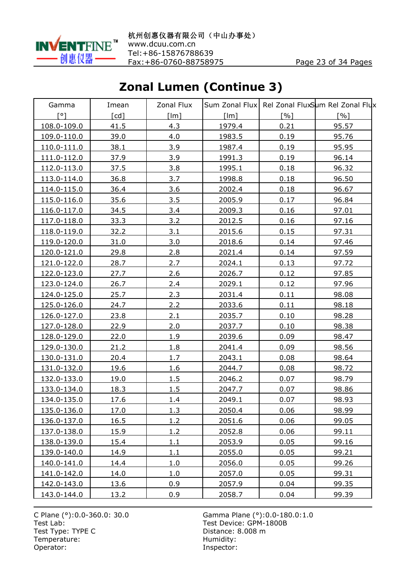

# **Zonal Lumen (Continue 3)**

| Gamma                 | Imean              | Zonal Flux |        |      | Sum Zonal Flux Rel Zonal FluxSum Rel Zonal Flux |
|-----------------------|--------------------|------------|--------|------|-------------------------------------------------|
| $\lceil \circ \rceil$ | $\lceil cd \rceil$ | [Im]       | [Im]   | [%]  | $\lceil % \rceil$                               |
| 108.0-109.0           | 41.5               | 4.3        | 1979.4 | 0.21 | 95.57                                           |
| 109.0-110.0           | 39.0               | 4.0        | 1983.5 | 0.19 | 95.76                                           |
| 110.0-111.0           | 38.1               | 3.9        | 1987.4 | 0.19 | 95.95                                           |
| 111.0-112.0           | 37.9               | 3.9        | 1991.3 | 0.19 | 96.14                                           |
| 112.0-113.0           | 37.5               | 3.8        | 1995.1 | 0.18 | 96.32                                           |
| 113.0-114.0           | 36.8               | 3.7        | 1998.8 | 0.18 | 96.50                                           |
| 114.0-115.0           | 36.4               | 3.6        | 2002.4 | 0.18 | 96.67                                           |
| 115.0-116.0           | 35.6               | 3.5        | 2005.9 | 0.17 | 96.84                                           |
| 116.0-117.0           | 34.5               | 3.4        | 2009.3 | 0.16 | 97.01                                           |
| 117.0-118.0           | 33.3               | 3.2        | 2012.5 | 0.16 | 97.16                                           |
| 118.0-119.0           | 32.2               | 3.1        | 2015.6 | 0.15 | 97.31                                           |
| 119.0-120.0           | 31.0               | 3.0        | 2018.6 | 0.14 | 97.46                                           |
| 120.0-121.0           | 29.8               | 2.8        | 2021.4 | 0.14 | 97.59                                           |
| 121.0-122.0           | 28.7               | 2.7        | 2024.1 | 0.13 | 97.72                                           |
| 122.0-123.0           | 27.7               | 2.6        | 2026.7 | 0.12 | 97.85                                           |
| 123.0-124.0           | 26.7               | 2.4        | 2029.1 | 0.12 | 97.96                                           |
| 124.0-125.0           | 25.7               | 2.3        | 2031.4 | 0.11 | 98.08                                           |
| 125.0-126.0           | 24.7               | 2.2        | 2033.6 | 0.11 | 98.18                                           |
| 126.0-127.0           | 23.8               | 2.1        | 2035.7 | 0.10 | 98.28                                           |
| 127.0-128.0           | 22.9               | 2.0        | 2037.7 | 0.10 | 98.38                                           |
| 128.0-129.0           | 22.0               | 1.9        | 2039.6 | 0.09 | 98.47                                           |
| 129.0-130.0           | 21.2               | 1.8        | 2041.4 | 0.09 | 98.56                                           |
| 130.0-131.0           | 20.4               | 1.7        | 2043.1 | 0.08 | 98.64                                           |
| 131.0-132.0           | 19.6               | 1.6        | 2044.7 | 0.08 | 98.72                                           |
| 132.0-133.0           | 19.0               | 1.5        | 2046.2 | 0.07 | 98.79                                           |
| 133.0-134.0           | 18.3               | 1.5        | 2047.7 | 0.07 | 98.86                                           |
| 134.0-135.0           | 17.6               | 1.4        | 2049.1 | 0.07 | 98.93                                           |
| 135.0-136.0           | 17.0               | 1.3        | 2050.4 | 0.06 | 98.99                                           |
| 136.0-137.0           | 16.5               | 1.2        | 2051.6 | 0.06 | 99.05                                           |
| 137.0-138.0           | 15.9               | 1.2        | 2052.8 | 0.06 | 99.11                                           |
| 138.0-139.0           | 15.4               | 1.1        | 2053.9 | 0.05 | 99.16                                           |
| 139.0-140.0           | <u>14.9</u>        | 1.1        | 2055.0 | 0.05 | 99.21                                           |
| 140.0-141.0           | 14.4               | 1.0        | 2056.0 | 0.05 | 99.26                                           |
| 141.0-142.0           | 14.0               | 1.0        | 2057.0 | 0.05 | 99.31                                           |
| 142.0-143.0           | <u>13.6</u>        | 0.9        | 2057.9 | 0.04 | 99.35                                           |
| 143.0-144.0           | <u>13.2</u>        | 0.9        | 2058.7 | 0.04 | 99.39                                           |

Test Type: TYPE C<br>
Temperature: Contract Contract Contract Contract Contract Contract Contract Contract Contract Contract Contract Contract Contract Contract Contract Contract Contract Contract Contract Contract Contract C Temperature:<br>Operator: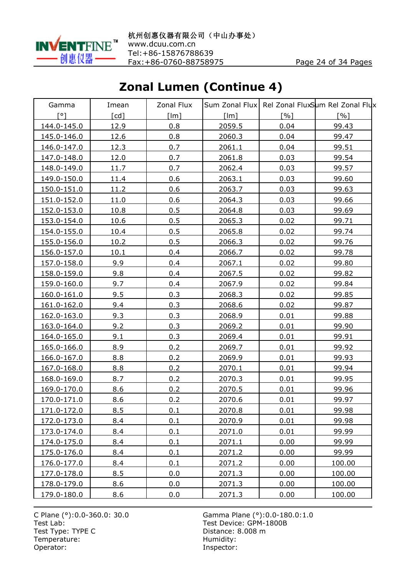

# **Zonal Lumen (Continue 4)**

| Gamma       | Imean              | Zonal Flux |        |      | Sum Zonal Flux Rel Zonal FluxSum Rel Zonal Flux |
|-------------|--------------------|------------|--------|------|-------------------------------------------------|
| ۲°۱         | $\lceil cd \rceil$ | [Im]       | [lm]   | [%]  | $\lceil % \rceil$                               |
| 144.0-145.0 | 12.9               | 0.8        | 2059.5 | 0.04 | 99.43                                           |
| 145.0-146.0 | 12.6               | 0.8        | 2060.3 | 0.04 | 99.47                                           |
| 146.0-147.0 | 12.3               | 0.7        | 2061.1 | 0.04 | 99.51                                           |
| 147.0-148.0 | 12.0               | 0.7        | 2061.8 | 0.03 | 99.54                                           |
| 148.0-149.0 | 11.7               | 0.7        | 2062.4 | 0.03 | 99.57                                           |
| 149.0-150.0 | 11.4               | 0.6        | 2063.1 | 0.03 | 99.60                                           |
| 150.0-151.0 | 11.2               | 0.6        | 2063.7 | 0.03 | 99.63                                           |
| 151.0-152.0 | 11.0               | 0.6        | 2064.3 | 0.03 | 99.66                                           |
| 152.0-153.0 | 10.8               | 0.5        | 2064.8 | 0.03 | 99.69                                           |
| 153.0-154.0 | 10.6               | 0.5        | 2065.3 | 0.02 | 99.71                                           |
| 154.0-155.0 | 10.4               | 0.5        | 2065.8 | 0.02 | 99.74                                           |
| 155.0-156.0 | 10.2               | 0.5        | 2066.3 | 0.02 | 99.76                                           |
| 156.0-157.0 | 10.1               | 0.4        | 2066.7 | 0.02 | 99.78                                           |
| 157.0-158.0 | 9.9                | 0.4        | 2067.1 | 0.02 | 99.80                                           |
| 158.0-159.0 | 9.8                | 0.4        | 2067.5 | 0.02 | 99.82                                           |
| 159.0-160.0 | 9.7                | 0.4        | 2067.9 | 0.02 | 99.84                                           |
| 160.0-161.0 | 9.5                | 0.3        | 2068.3 | 0.02 | 99.85                                           |
| 161.0-162.0 | 9.4                | 0.3        | 2068.6 | 0.02 | 99.87                                           |
| 162.0-163.0 | 9.3                | 0.3        | 2068.9 | 0.01 | 99.88                                           |
| 163.0-164.0 | 9.2                | 0.3        | 2069.2 | 0.01 | 99.90                                           |
| 164.0-165.0 | 9.1                | 0.3        | 2069.4 | 0.01 | 99.91                                           |
| 165.0-166.0 | 8.9                | 0.2        | 2069.7 | 0.01 | 99.92                                           |
| 166.0-167.0 | 8.8                | 0.2        | 2069.9 | 0.01 | 99.93                                           |
| 167.0-168.0 | 8.8                | 0.2        | 2070.1 | 0.01 | 99.94                                           |
| 168.0-169.0 | 8.7                | 0.2        | 2070.3 | 0.01 | 99.95                                           |
| 169.0-170.0 | 8.6                | 0.2        | 2070.5 | 0.01 | 99.96                                           |
| 170.0-171.0 | 8.6                | 0.2        | 2070.6 | 0.01 | 99.97                                           |
| 171.0-172.0 | 8.5                | 0.1        | 2070.8 | 0.01 | 99.98                                           |
| 172.0-173.0 | 8.4                | 0.1        | 2070.9 | 0.01 | 99.98                                           |
| 173.0-174.0 | 8.4                | 0.1        | 2071.0 | 0.01 | 99.99                                           |
| 174.0-175.0 | 8.4                | 0.1        | 2071.1 | 0.00 | 99.99                                           |
| 175.0-176.0 | 8.4                | 0.1        | 2071.2 | 0.00 | 99.99                                           |
| 176.0-177.0 | 8.4                | 0.1        | 2071.2 | 0.00 | 100.00                                          |
| 177.0-178.0 | 8.5                | 0.0        | 2071.3 | 0.00 | 100.00                                          |
| 178.0-179.0 | 8.6                | 0.0        | 2071.3 | 0.00 | 100.00                                          |
| 179.0-180.0 | 8.6                | 0.0        | 2071.3 | 0.00 | 100.00                                          |

Test Type: TYPE C<br>
Temperature: Contract Contract Contract Contract Contract Contract Contract Contract Contract Contract Contract Contract Contract Contract Contract Contract Contract Contract Contract Contract Contract C Temperature:<br>Operator: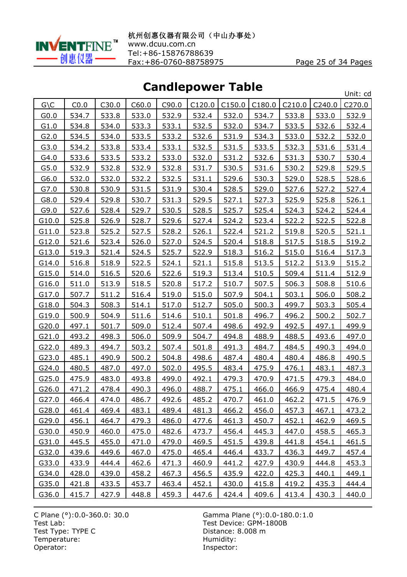

**Candlepower Table**

| sanarepo<br><u>.</u> |              |              |       |       |        |        |        | Unit: cd     |        |              |
|----------------------|--------------|--------------|-------|-------|--------|--------|--------|--------------|--------|--------------|
| $G \setminus C$      | CO.0         | C30.0        | C60.0 | C90.0 | C120.0 | C150.0 | C180.0 | C210.0       | C240.0 | C270.0       |
| G <sub>0.0</sub>     | 534.7        | 533.8        | 533.0 | 532.9 | 532.4  | 532.0  | 534.7  | 533.8        | 533.0  | 532.9        |
| G1.0                 | 534.8        | 534.0        | 533.3 | 533.1 | 532.5  | 532.0  | 534.7  | 533.5        | 532.6  | 532.4        |
| G2.0                 | 534.5        | 534.0        | 533.5 | 533.2 | 532.6  | 531.9  | 534.3  | 533.0        | 532.2  | 532.0        |
| G3.0                 | 534.2        | 533.8        | 533.4 | 533.1 | 532.5  | 531.5  | 533.5  | 532.3        | 531.6  | 531.4        |
| G4.0                 | 533.6        | 533.5        | 533.2 | 533.0 | 532.0  | 531.2  | 532.6  | 531.3        | 530.7  | 530.4        |
| G5.0                 | 532.9        | 532.8        | 532.9 | 532.8 | 531.7  | 530.5  | 531.6  | 530.2        | 529.8  | 529.5        |
| G6.0                 | 532.0        | 532.0        | 532.2 | 532.5 | 531.1  | 529.6  | 530.3  | 529.0        | 528.5  | 528.6        |
| G7.0                 | 530.8        | 530.9        | 531.5 | 531.9 | 530.4  | 528.5  | 529.0  | 527.6        | 527.2  | 527.4        |
| G8.0                 | 529.4        | 529.8        | 530.7 | 531.3 | 529.5  | 527.1  | 527.3  | 525.9        | 525.8  | 526.1        |
| G9.0                 | 527.6        | 528.4        | 529.7 | 530.5 | 528.5  | 525.7  | 525.4  | 524.3        | 524.2  | 524.4        |
| G10.0                | 525.8        | 526.9        | 528.7 | 529.6 | 527.4  | 524.2  | 523.4  | 522.2        | 522.5  | 522.8        |
| G11.0                | 523.8        | 525.2        | 527.5 | 528.2 | 526.1  | 522.4  | 521.2  | 519.8        | 520.5  | 521.1        |
| G12.0                | 521.6        | 523.4        | 526.0 | 527.0 | 524.5  | 520.4  | 518.8  | 517.5        | 518.5  | 519.2        |
| G13.0                | 519.3        | 521.4        | 524.5 | 525.7 | 522.9  | 518.3  | 516.2  | 515.0        | 516.4  | 517.3        |
| G14.0                | 516.8        | 518.9        | 522.5 | 524.1 | 521.1  | 515.8  | 513.5  | 512.2        | 513.9  | 515.2        |
| G15.0                | 514.0        | 516.5        | 520.6 | 522.6 | 519.3  | 513.4  | 510.5  | 509.4        | 511.4  | 512.9        |
| G16.0                | 511.0        | 513.9        | 518.5 | 520.8 | 517.2  | 510.7  | 507.5  | 506.3        | 508.8  | 510.6        |
| G17.0                | 507.7        | 511.2        | 516.4 | 519.0 | 515.0  | 507.9  | 504.1  | 503.1        | 506.0  | 508.2        |
| G18.0                | 504.3        | 508.3        | 514.1 | 517.0 | 512.7  | 505.0  | 500.3  | 499.7        | 503.3  | 505.4        |
| G19.0                | 500.9        | 504.9        | 511.6 | 514.6 | 510.1  | 501.8  | 496.7  | 496.2        | 500.2  | 502.7        |
| G20.0                | 497.1        | 501.7        | 509.0 | 512.4 | 507.4  | 498.6  | 492.9  | 492.5        | 497.1  | 499.9        |
| G21.0                | 493.2        | 498.3        | 506.0 | 509.9 | 504.7  | 494.8  | 488.9  | 488.5        | 493.6  | 497.0        |
| G22.0                | 489.3        | 494.7        | 503.2 | 507.4 | 501.8  | 491.3  | 484.7  | 484.5        | 490.3  | 494.0        |
| G23.0                | 485.1        | 490.9        | 500.2 | 504.8 | 498.6  | 487.4  | 480.4  | 480.4        | 486.8  | 490.5        |
| G24.0                | 480.5        | 487.0        | 497.0 | 502.0 | 495.5  | 483.4  | 475.9  | 476.1        | 483.1  | 487.3        |
| G25.0                | 475.9        | 483.0        | 493.8 | 499.0 | 492.1  | 479.3  | 470.9  | 471.5        | 479.3  | 484.0        |
| G26.0                | 471.2        | 478.4        | 490.3 | 496.0 | 488.7  | 475.1  | 466.0  | 466.9        | 475.4  | 480.4        |
| G27.0                | 466.4        | 474.0        | 486.7 | 492.6 | 485.2  | 470.7  | 461.0  | 462.2        | 471.5  | 476.9        |
| G28.0                | 461.4        | 469.4        | 483.1 | 489.4 | 481.3  | 466.2  | 456.0  | 457.3        | 467.1  | 473.2        |
| G29.0                | 456.1        | 464.7        | 479.3 | 486.0 | 477.6  | 461.3  | 450.7  | 452.1        | 462.9  | 469.5        |
| G30.0                | 450.9        | 460.0        | 475.0 | 482.6 | 473.7  | 456.4  | 445.3  | 447.0        | 458.5  | 465.3        |
| G31.0                | 445.5        | 455.0        | 471.0 | 479.0 | 469.5  | 451.5  | 439.8  | 441.8        | 454.1  | 461.5        |
| G32.0                | 439.6        | 449.6        | 467.0 | 475.0 | 465.4  | 446.4  | 433.7  | <u>436.3</u> | 449.7  | 457.4        |
| G33.0                | 433.9        | 444.4        | 462.6 | 471.3 | 460.9  | 441.2  | 427.9  | 430.9        | 444.8  | <u>453.3</u> |
| G34.0                | 428.0        | 439.0        | 458.2 | 467.3 | 456.5  | 435.9  | 422.0  | 425.3        | 440.1  | 449.1        |
| G35.0                | <u>421.8</u> | <u>433.5</u> | 453.7 | 463.4 | 452.1  | 430.0  | 415.8  | <u>419.2</u> | 435.3  | 444.4        |
| G36.0                | 415.7        | 427.9        | 448.8 | 459.3 | 447.6  | 424.4  | 409.6  | 413.4        | 430.3  | 440.0        |

Test Lab: Test Device: GPM-1800B Test Type: TYPE C<br>
Temperature: Contract Contract Contract Contract Contract Contract Contract Contract Contract Contract Contract Contract Contract Contract Contract Contract Contract Contract Contract Contract Contract C Temperature:<br>Operator:

C Plane (°):0.0-360.0: 30.0 Gamma Plane (°):0.0-180.0:1.0 Inspector: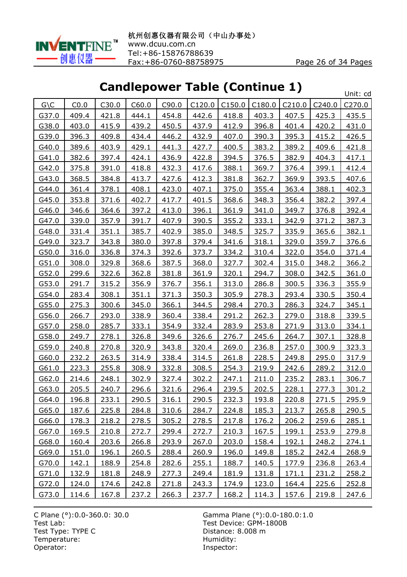

# **Candlepower Table (Continue 1)**

|                 |       |              | апир<br>$\checkmark$ |              | $\sim$ . There (continue t) |              |        |              |        | Unit: cd     |
|-----------------|-------|--------------|----------------------|--------------|-----------------------------|--------------|--------|--------------|--------|--------------|
| $G \setminus C$ | CO.0  | C30.0        | C60.0                | C90.0        | C120.0                      | C150.0       | C180.0 | C210.0       | C240.0 | C270.0       |
| G37.0           | 409.4 | 421.8        | 444.1                | 454.8        | 442.6                       | 418.8        | 403.3  | 407.5        | 425.3  | 435.5        |
| G38.0           | 403.0 | 415.9        | 439.2                | 450.5        | 437.9                       | 412.9        | 396.8  | 401.4        | 420.2  | 431.0        |
| G39.0           | 396.3 | 409.8        | 434.4                | 446.2        | 432.9                       | 407.0        | 390.3  | 395.3        | 415.2  | 426.5        |
| G40.0           | 389.6 | 403.9        | 429.1                | 441.3        | 427.7                       | 400.5        | 383.2  | 389.2        | 409.6  | 421.8        |
| G41.0           | 382.6 | 397.4        | 424.1                | 436.9        | 422.8                       | 394.5        | 376.5  | 382.9        | 404.3  | 417.1        |
| G42.0           | 375.8 | 391.0        | 418.8                | 432.3        | 417.6                       | 388.1        | 369.7  | 376.4        | 399.1  | 412.4        |
| G43.0           | 368.5 | 384.8        | 413.7                | 427.6        | 412.3                       | 381.8        | 362.7  | 369.9        | 393.5  | 407.6        |
| G44.0           | 361.4 | 378.1        | 408.1                | 423.0        | 407.1                       | 375.0        | 355.4  | 363.4        | 388.1  | 402.3        |
| G45.0           | 353.8 | 371.6        | 402.7                | 417.7        | 401.5                       | 368.6        | 348.3  | 356.4        | 382.2  | 397.4        |
| G46.0           | 346.6 | 364.6        | 397.2                | 413.0        | 396.1                       | 361.9        | 341.0  | 349.7        | 376.8  | 392.4        |
| G47.0           | 339.0 | 357.9        | 391.7                | 407.9        | 390.5                       | 355.2        | 333.1  | 342.9        | 371.2  | 387.3        |
| G48.0           | 331.4 | 351.1        | 385.7                | 402.9        | 385.0                       | 348.5        | 325.7  | 335.9        | 365.6  | 382.1        |
| G49.0           | 323.7 | 343.8        | 380.0                | 397.8        | 379.4                       | 341.6        | 318.1  | 329.0        | 359.7  | 376.6        |
| G50.0           | 316.0 | 336.8        | 374.3                | 392.6        | 373.7                       | 334.2        | 310.4  | 322.0        | 354.0  | 371.4        |
| G51.0           | 308.0 | 329.8        | 368.6                | 387.5        | 368.0                       | 327.7        | 302.4  | 315.0        | 348.2  | 366.2        |
| G52.0           | 299.6 | 322.6        | 362.8                | 381.8        | 361.9                       | 320.1        | 294.7  | 308.0        | 342.5  | 361.0        |
| G53.0           | 291.7 | 315.2        | 356.9                | 376.7        | 356.1                       | 313.0        | 286.8  | 300.5        | 336.3  | 355.9        |
| G54.0           | 283.4 | 308.1        | 351.1                | 371.3        | 350.3                       | 305.9        | 278.3  | 293.4        | 330.5  | 350.4        |
| G55.0           | 275.3 | 300.6        | 345.0                | 366.1        | 344.5                       | 298.4        | 270.3  | 286.3        | 324.7  | 345.1        |
| G56.0           | 266.7 | 293.0        | 338.9                | 360.4        | 338.4                       | 291.2        | 262.3  | 279.0        | 318.8  | 339.5        |
| G57.0           | 258.0 | 285.7        | 333.1                | 354.9        | 332.4                       | 283.9        | 253.8  | 271.9        | 313.0  | 334.1        |
| G58.0           | 249.7 | 278.1        | 326.8                | 349.6        | 326.6                       | 276.7        | 245.6  | 264.7        | 307.1  | 328.8        |
| G59.0           | 240.8 | 270.8        | 320.9                | 343.8        | 320.4                       | 269.0        | 236.8  | 257.0        | 300.9  | 323.3        |
| G60.0           | 232.2 | 263.5        | 314.9                | 338.4        | 314.5                       | 261.8        | 228.5  | 249.8        | 295.0  | 317.9        |
| G61.0           | 223.3 | 255.8        | 308.9                | 332.8        | 308.5                       | 254.3        | 219.9  | 242.6        | 289.2  | 312.0        |
| G62.0           | 214.6 | 248.1        | 302.9                | 327.4        | 302.2                       | 247.1        | 211.0  | 235.2        | 283.1  | 306.7        |
| G63.0           | 205.5 | 240.7        | 296.6                | 321.6        | 296.4                       | 239.5        | 202.5  | 228.1        | 277.3  | 301.2        |
| G64.0           | 196.8 | 233.1        | 290.5                | 316.1        | 290.5                       | 232.3        | 193.8  | 220.8        | 271.5  | 295.9        |
| G65.0           | 187.6 | 225.8        | 284.8                | 310.6        | 284.7                       | 224.8        | 185.3  | 213.7        | 265.8  | 290.5        |
| G66.0           | 178.3 | 218.2        | 278.5                | 305.2        | 278.5                       | 217.8        | 176.2  | 206.2        | 259.6  | 285.1        |
| G67.0           | 169.5 | 210.8        | 272.7                | 299.4        | 272.7                       | 210.3        | 167.5  | 199.1        | 253.9  | 279.8        |
| G68.0           | 160.4 | 203.6        | 266.8                | 293.9        | 267.0                       | 203.0        | 158.4  | 192.1        | 248.2  | 274.1        |
| G69.0           | 151.0 | 196.1        | 260.5                | 288.4        | 260.9                       | 196.0        | 149.8  | 185.2        | 242.4  | 268.9        |
| G70.0           | 142.1 | 188.9        | 254.8                | 282.6        | 255.1                       | 188.7        | 140.5  | <u>177.9</u> | 236.8  | <u>263.4</u> |
| G71.0           | 132.9 | 181.8        | 248.9                | 277.3        | 249.4                       | 181.9        | 131.8  | 171.1        | 231.2  | 258.2        |
| G72.0           | 124.0 | <u>174.6</u> | 242.8                | <u>271.8</u> | 243.3                       | <u>174.9</u> | 123.0  | <u>164.4</u> | 225.6  | <u>252.8</u> |
| G73.0           | 114.6 | 167.8        | 237.2                | 266.3        | 237.7                       | 168.2        | 114.3  | <u>157.6</u> | 219.8  | 247.6        |

Test Type: TYPE C<br>
Temperature: Contract Contract Contract Contract Contract Contract Contract Contract Contract Contract Contract Contract Contract Contract Contract Contract Contract Contract Contract Contract Contract C Temperature:<br>Operator: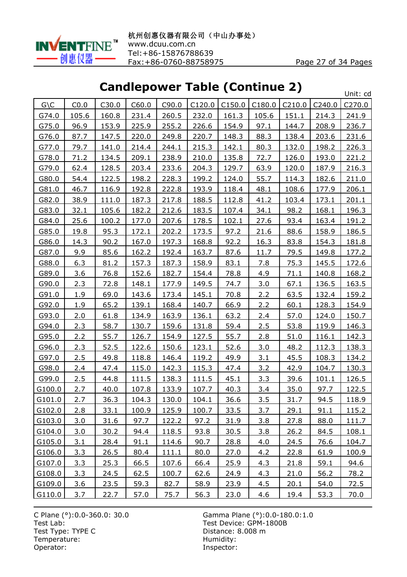

# **Candlepower Table (Continue 2)**

|                 |       |             | uu.cp<br>$\checkmark$ |       | WY LANIC LANI |             |        |        |        | Unit: cd    |
|-----------------|-------|-------------|-----------------------|-------|---------------|-------------|--------|--------|--------|-------------|
| $G \setminus C$ | CO.0  | C30.0       | C60.0                 | C90.0 | C120.0        | C150.0      | C180.0 | C210.0 | C240.0 | C270.0      |
| G74.0           | 105.6 | 160.8       | 231.4                 | 260.5 | 232.0         | 161.3       | 105.6  | 151.1  | 214.3  | 241.9       |
| G75.0           | 96.9  | 153.9       | 225.9                 | 255.2 | 226.6         | 154.9       | 97.1   | 144.7  | 208.9  | 236.7       |
| G76.0           | 87.7  | 147.5       | 220.0                 | 249.8 | 220.7         | 148.3       | 88.3   | 138.4  | 203.6  | 231.6       |
| G77.0           | 79.7  | 141.0       | 214.4                 | 244.1 | 215.3         | 142.1       | 80.3   | 132.0  | 198.2  | 226.3       |
| G78.0           | 71.2  | 134.5       | 209.1                 | 238.9 | 210.0         | 135.8       | 72.7   | 126.0  | 193.0  | 221.2       |
| G79.0           | 62.4  | 128.5       | 203.4                 | 233.6 | 204.3         | 129.7       | 63.9   | 120.0  | 187.9  | 216.3       |
| G80.0           | 54.4  | 122.5       | 198.2                 | 228.3 | 199.2         | 124.0       | 55.7   | 114.3  | 182.6  | 211.0       |
| G81.0           | 46.7  | 116.9       | 192.8                 | 222.8 | 193.9         | 118.4       | 48.1   | 108.6  | 177.9  | 206.1       |
| G82.0           | 38.9  | 111.0       | 187.3                 | 217.8 | 188.5         | 112.8       | 41.2   | 103.4  | 173.1  | 201.1       |
| G83.0           | 32.1  | 105.6       | 182.2                 | 212.6 | 183.5         | 107.4       | 34.1   | 98.2   | 168.1  | 196.3       |
| G84.0           | 25.6  | 100.2       | 177.0                 | 207.6 | 178.5         | 102.1       | 27.6   | 93.4   | 163.4  | 191.2       |
| G85.0           | 19.8  | 95.3        | 172.1                 | 202.2 | 173.5         | 97.2        | 21.6   | 88.6   | 158.9  | 186.5       |
| G86.0           | 14.3  | 90.2        | 167.0                 | 197.3 | 168.8         | 92.2        | 16.3   | 83.8   | 154.3  | 181.8       |
| G87.0           | 9.9   | 85.6        | 162.2                 | 192.4 | 163.7         | 87.6        | 11.7   | 79.5   | 149.8  | 177.2       |
| G88.0           | 6.3   | 81.2        | 157.3                 | 187.3 | 158.9         | 83.1        | 7.8    | 75.3   | 145.5  | 172.6       |
| G89.0           | 3.6   | 76.8        | 152.6                 | 182.7 | 154.4         | 78.8        | 4.9    | 71.1   | 140.8  | 168.2       |
| G90.0           | 2.3   | 72.8        | 148.1                 | 177.9 | 149.5         | 74.7        | 3.0    | 67.1   | 136.5  | 163.5       |
| G91.0           | 1.9   | 69.0        | 143.6                 | 173.4 | 145.1         | 70.8        | 2.2    | 63.5   | 132.4  | 159.2       |
| G92.0           | 1.9   | 65.2        | 139.1                 | 168.4 | 140.7         | 66.9        | 2.2    | 60.1   | 128.3  | 154.9       |
| G93.0           | 2.0   | 61.8        | 134.9                 | 163.9 | 136.1         | 63.2        | 2.4    | 57.0   | 124.0  | 150.7       |
| G94.0           | 2.3   | 58.7        | 130.7                 | 159.6 | 131.8         | 59.4        | 2.5    | 53.8   | 119.9  | 146.3       |
| G95.0           | 2.2   | 55.7        | 126.7                 | 154.9 | 127.5         | 55.7        | 2.8    | 51.0   | 116.1  | 142.3       |
| G96.0           | 2.3   | 52.5        | 122.6                 | 150.6 | 123.1         | 52.6        | 3.0    | 48.2   | 112.3  | 138.3       |
| G97.0           | 2.5   | 49.8        | 118.8                 | 146.4 | 119.2         | 49.9        | 3.1    | 45.5   | 108.3  | 134.2       |
| G98.0           | 2.4   | 47.4        | 115.0                 | 142.3 | 115.3         | 47.4        | 3.2    | 42.9   | 104.7  | 130.3       |
| G99.0           | 2.5   | 44.8        | 111.5                 | 138.3 | 111.5         | 45.1        | 3.3    | 39.6   | 101.1  | 126.5       |
| G100.0          | 2.7   | 40.0        | 107.8                 | 133.9 | 107.7         | 40.3        | 3.4    | 35.0   | 97.7   | 122.5       |
| G101.0          | 2.7   | 36.3        | 104.3                 | 130.0 | 104.1         | 36.6        | 3.5    | 31.7   | 94.5   | 118.9       |
| G102.0          | 2.8   | 33.1        | 100.9                 | 125.9 | 100.7         | 33.5        | 3.7    | 29.1   | 91.1   | 115.2       |
| G103.0          | 3.0   | 31.6        | 97.7                  | 122.2 | 97.2          | 31.9        | 3.8    | 27.8   | 88.0   | 111.7       |
| G104.0          | 3.0   | 30.2        | 94.4                  | 118.5 | 93.8          | 30.5        | 3.8    | 26.2   | 84.5   | 108.1       |
| G105.0          | 3.1   | 28.4        | 91.1                  | 114.6 | 90.7          | 28.8        | 4.0    | 24.5   | 76.6   | 104.7       |
| G106.0          | 3.3   | 26.5        | 80.4                  | 111.1 | 80.0          | 27.0        | 4.2    | 22.8   | 61.9   | 100.9       |
| G107.0          | 3.3   | 25.3        | 66.5                  | 107.6 | 66.4          | 25.9        | 4.3    | 21.8   | 59.1   | 94.6        |
| G108.0          | 3.3   | 24.5        | 62.5                  | 100.7 | 62.6          | 24.9        | 4.3    | 21.0   | 56.2   | 78.2        |
| G109.0          | 3.6   | <u>23.5</u> | 59.3                  | 82.7  | 58.9          | <u>23.9</u> | 4.5    | 20.1   | 54.0   | <u>72.5</u> |
| G110.0          | 3.7   | 22.7        | 57.0                  | 75.7  | 56.3          | 23.0        | 4.6    | 19.4   | 53.3   | 70.0        |

Test Type: TYPE C<br>
Temperature: Contract Contract Contract Contract Contract Contract Contract Contract Contract Contract Contract Contract Contract Contract Contract Contract Contract Contract Contract Contract Contract C Temperature:<br>Operator: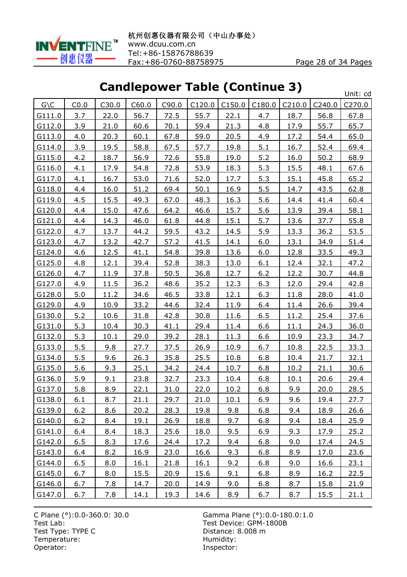

# **Candlepower Table (Continue 3)**

|                    |            |       | ununcpo     |       | $\mathbf{v}$ is the fact that |             |        |          |             | Unit: cd    |
|--------------------|------------|-------|-------------|-------|-------------------------------|-------------|--------|----------|-------------|-------------|
| $G \setminus C$    | CO.0       | C30.0 | C60.0       | C90.0 | C120.0                        | C150.0      | C180.0 | C210.0   | C240.0      | C270.0      |
| G111.0             | 3.7        | 22.0  | 56.7        | 72.5  | 55.7                          | 22.1        | 4.7    | 18.7     | 56.8        | 67.8        |
| G112.0             | 3.9        | 21.0  | 60.6        | 70.1  | 59.4                          | 21.3        | 4.8    | 17.9     | 55.7        | 65.7        |
| G113.0             | 4.0        | 20.3  | 60.1        | 67.8  | 59.0                          | 20.5        | 4.9    | 17.2     | 54.4        | 65.0        |
| G114.0             | 3.9        | 19.5  | 58.8        | 67.5  | 57.7                          | 19.8        | 5.1    | 16.7     | 52.4        | 69.4        |
| G115.0             | 4.2        | 18.7  | 56.9        | 72.6  | 55.8                          | 19.0        | 5.2    | 16.0     | 50.2        | 68.9        |
| G116.0             | 4.1        | 17.9  | 54.8        | 72.8  | 53.9                          | 18.3        | 5.3    | 15.5     | 48.1        | 67.6        |
| G117.0             | 4.1        | 16.7  | 53.0        | 71.6  | 52.0                          | 17.7        | 5.3    | 15.1     | 45.8        | 65.2        |
| G118.0             | 4.4        | 16.0  | 51.2        | 69.4  | 50.1                          | 16.9        | 5.5    | 14.7     | 43.5        | 62.8        |
| G119.0             | 4.5        | 15.5  | 49.3        | 67.0  | 48.3                          | <u>16.3</u> | 5.6    | 14.4     | 41.4        | 60.4        |
| G120.0             | 4.4        | 15.0  | 47.6        | 64.2  | 46.6                          | 15.7        | 5.6    | 13.9     | 39.4        | 58.1        |
| G <sub>121.0</sub> | 4.4        | 14.3  | 46.0        | 61.8  | 44.8                          | 15.1        | 5.7    | 13.6     | 37.7        | 55.8        |
| G122.0             | 4.7        | 13.7  | 44.2        | 59.5  | 43.2                          | 14.5        | 5.9    | 13.3     | 36.2        | 53.5        |
| G123.0             | 4.7        | 13.2  | 42.7        | 57.2  | 41.5                          | 14.1        | 6.0    | 13.1     | 34.9        | 51.4        |
| G124.0             | 4.6        | 12.5  | 41.1        | 54.8  | 39.8                          | 13.6        | 6.0    | 12.8     | 33.5        | 49.3        |
| G125.0             | 4.8        | 12.1  | 39.4        | 52.8  | 38.3                          | 13.0        | 6.1    | 12.4     | 32.1        | 47.2        |
| G126.0             | 4.7        | 11.9  | 37.8        | 50.5  | 36.8                          | 12.7        | $6.2$  | 12.2     | 30.7        | 44.8        |
| G127.0             | 4.9        | 11.5  | 36.2        | 48.6  | 35.2                          | 12.3        | 6.3    | 12.0     | 29.4        | 42.8        |
| G128.0             | 5.0        | 11.2  | 34.6        | 46.5  | 33.8                          | 12.1        | 6.3    | 11.8     | 28.0        | 41.0        |
| G129.0             | 4.9        | 10.9  | 33.2        | 44.6  | 32.4                          | 11.9        | 6.4    | 11.4     | 26.6        | 39.4        |
| G130.0             | 5.2        | 10.6  | 31.8        | 42.8  | 30.8                          | 11.6        | 6.5    | 11.2     | 25.4        | 37.6        |
| G131.0             | 5.3        | 10.4  | 30.3        | 41.1  | 29.4                          | 11.4        | 6.6    | $11.1\,$ | 24.3        | 36.0        |
| G132.0             | 5.3        | 10.1  | 29.0        | 39.2  | 28.1                          | 11.3        | 6.6    | 10.9     | 23.3        | 34.7        |
| G133.0             | 5.5        | 9.8   | 27.7        | 37.5  | 26.9                          | 10.9        | 6.7    | 10.8     | 22.5        | 33.3        |
| G134.0             | 5.5        | 9.6   | 26.3        | 35.8  | 25.5                          | 10.8        | 6.8    | 10.4     | 21.7        | 32.1        |
| G135.0             | 5.6        | 9.3   | 25.1        | 34.2  | 24.4                          | 10.7        | 6.8    | 10.2     | 21.1        | 30.6        |
| G136.0             | 5.9        | 9.1   | 23.8        | 32.7  | 23.3                          | 10.4        | 6.8    | 10.1     | 20.6        | 29.4        |
| G137.0             | 5.8        | 8.9   | 22.1        | 31.0  | 22.0                          | 10.2        | 6.8    | 9.9      | 20.0        | 28.5        |
| G138.0             | 6.1        | 8.7   | 21.1        | 29.7  | 21.0                          | 10.1        | 6.9    | 9.6      | 19.4        | 27.7        |
| G139.0             | $6.2$      | 8.6   | 20.2        | 28.3  | 19.8                          | 9.8         | 6.8    | 9.4      | 18.9        | 26.6        |
| G140.0             | 6.2        | 8.4   | 19.1        | 26.9  | 18.8                          | 9.7         | 6.8    | 9.4      | <u>18.4</u> | 25.9        |
| G141.0             | 6.4        | 8.4   | 18.3        | 25.6  | 18.0                          | 9.5         | 6.9    | 9.3      | 17.9        | 25.2        |
| G142.0             | 6.5        | 8.3   | 17.6        | 24.4  | 17.2                          | 9.4         | 6.8    | 9.0      | 17.4        | 24.5        |
| G143.0             | <u>6.4</u> | 8.2   | 16.9        | 23.0  | <u>16.6</u>                   | 9.3         | 6.8    | 8.9      | 17.0        | <u>23.6</u> |
| G144.0             | 6.5        | 8.0   | <u>16.1</u> | 21.8  | 16.1                          | 9.2         | 6.8    | 9.0      | <u>16.6</u> | 23.1        |
| G145.0             | 6.7        | 8.0   | 15.5        | 20.9  | 15.6                          | 9.1         | 6.8    | 8.9      | 16.2        | 22.5        |
| G146.0             | 6.7        | 7.8   | 14.7        | 20.0  | 14.9                          | 9.0         | 6.8    | 8.7      | <u>15.8</u> | <u>21.9</u> |
| G147.0             | 6.7        | 7.8   | 14.1        | 19.3  | 14.6                          | 8.9         | 6.7    | 8.7      | 15.5        | 21.1        |

Test Type: TYPE C<br>
Temperature: Contract Contract Contract Contract Contract Contract Contract Contract Contract Contract Contract Contract Contract Contract Contract Contract Contract Contract Contract Contract Contract C Temperature:<br>Operator: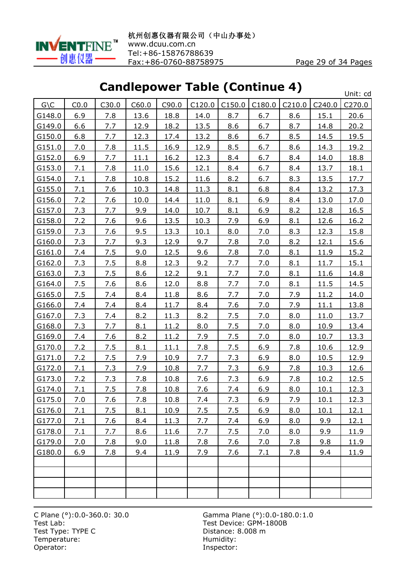

 $\mathbf{u}$ 

# **Candlepower Table (Continue 4)**

|                 |      |       |       |             |        |        |        |        |             | UNIT: CA    |
|-----------------|------|-------|-------|-------------|--------|--------|--------|--------|-------------|-------------|
| $G \setminus C$ | CO.0 | C30.0 | C60.0 | C90.0       | C120.0 | C150.0 | C180.0 | C210.0 | C240.0      | C270.0      |
| G148.0          | 6.9  | 7.8   | 13.6  | 18.8        | 14.0   | 8.7    | 6.7    | 8.6    | 15.1        | 20.6        |
| G149.0          | 6.6  | 7.7   | 12.9  | 18.2        | 13.5   | 8.6    | 6.7    | 8.7    | 14.8        | 20.2        |
| G150.0          | 6.8  | 7.7   | 12.3  | 17.4        | 13.2   | 8.6    | 6.7    | 8.5    | 14.5        | 19.5        |
| G151.0          | 7.0  | 7.8   | 11.5  | 16.9        | 12.9   | 8.5    | 6.7    | 8.6    | 14.3        | 19.2        |
| G152.0          | 6.9  | 7.7   | 11.1  | 16.2        | 12.3   | 8.4    | 6.7    | 8.4    | 14.0        | 18.8        |
| G153.0          | 7.1  | 7.8   | 11.0  | 15.6        | 12.1   | 8.4    | 6.7    | 8.4    | 13.7        | 18.1        |
| G154.0          | 7.1  | 7.8   | 10.8  | 15.2        | 11.6   | 8.2    | 6.7    | 8.3    | 13.5        | 17.7        |
| G155.0          | 7.1  | 7.6   | 10.3  | 14.8        | 11.3   | 8.1    | 6.8    | 8.4    | 13.2        | 17.3        |
| G156.0          | 7.2  | 7.6   | 10.0  | 14.4        | 11.0   | 8.1    | 6.9    | 8.4    | 13.0        | 17.0        |
| G157.0          | 7.3  | 7.7   | 9.9   | 14.0        | 10.7   | 8.1    | 6.9    | 8.2    | 12.8        | 16.5        |
| G158.0          | 7.2  | 7.6   | 9.6   | 13.5        | 10.3   | 7.9    | 6.9    | 8.1    | 12.6        | 16.2        |
| G159.0          | 7.3  | 7.6   | 9.5   | <u>13.3</u> | 10.1   | 8.0    | 7.0    | 8.3    | 12.3        | <u>15.8</u> |
| G160.0          | 7.3  | 7.7   | 9.3   | 12.9        | 9.7    | 7.8    | 7.0    | 8.2    | 12.1        | 15.6        |
| G161.0          | 7.4  | 7.5   | 9.0   | 12.5        | 9.6    | 7.8    | 7.0    | 8.1    | 11.9        | 15.2        |
| G162.0          | 7.3  | 7.5   | 8.8   | 12.3        | 9.2    | 7.7    | 7.0    | 8.1    | 11.7        | 15.1        |
| G163.0          | 7.3  | 7.5   | 8.6   | 12.2        | 9.1    | 7.7    | 7.0    | 8.1    | 11.6        | 14.8        |
| G164.0          | 7.5  | 7.6   | 8.6   | 12.0        | 8.8    | 7.7    | 7.0    | 8.1    | 11.5        | 14.5        |
| G165.0          | 7.5  | 7.4   | 8.4   | 11.8        | 8.6    | 7.7    | 7.0    | 7.9    | 11.2        | 14.0        |
| G166.0          | 7.4  | 7.4   | 8.4   | 11.7        | 8.4    | 7.6    | 7.0    | 7.9    | 11.1        | 13.8        |
| G167.0          | 7.3  | 7.4   | 8.2   | 11.3        | 8.2    | 7.5    | 7.0    | 8.0    | 11.0        | 13.7        |
| G168.0          | 7.3  | 7.7   | 8.1   | 11.2        | 8.0    | 7.5    | 7.0    | 8.0    | 10.9        | 13.4        |
| G169.0          | 7.4  | 7.6   | 8.2   | 11.2        | 7.9    | 7.5    | 7.0    | 8.0    | 10.7        | <u>13.3</u> |
| G170.0          | 7.2  | 7.5   | 8.1   | 11.1        | 7.8    | 7.5    | 6.9    | 7.8    | 10.6        | 12.9        |
| G171.0          | 7.2  | 7.5   | 7.9   | 10.9        | 7.7    | 7.3    | 6.9    | 8.0    | 10.5        | 12.9        |
| G172.0          | 7.1  | 7.3   | 7.9   | 10.8        | 7.7    | 7.3    | 6.9    | 7.8    | 10.3        | 12.6        |
| G173.0          | 7.2  | 7.3   | 7.8   | 10.8        | 7.6    | 7.3    | 6.9    | 7.8    | 10.2        | 12.5        |
| G174.0          | 7.1  | 7.5   | 7.8   | 10.8        | 7.6    | 7.4    | 6.9    | 8.0    | 10.1        | 12.3        |
| G175.0          | 7.0  | 7.6   | 7.8   | 10.8        | 7.4    | 7.3    | 6.9    | 7.9    | <u>10.1</u> | <u>12.3</u> |
| G176.0          | 7.1  | 7.5   | 8.1   | 10.9        | 7.5    | 7.5    | 6.9    | 8.0    | 10.1        | 12.1        |
| G177.0          | 7.1  | 7.6   | 8.4   | 11.3        | 7.7    | 7.4    | 6.9    | 8.0    | 9.9         | 12.1        |
| G178.0          | 7.1  | 7.7   | 8.6   | 11.6        | 7.7    | 7.5    | 7.0    | 8.0    | 9.9         | 11.9        |
| G179.0          | 7.0  | 7.8   | 9.0   | 11.8        | 7.8    | 7.6    | 7.0    | 7.8    | 9.8         | 11.9        |
| G180.0          | 6.9  | 7.8   | 9.4   | 11.9        | 7.9    | 7.6    | 7.1    | 7.8    | 9.4         | 11.9        |
|                 |      |       |       |             |        |        |        |        |             |             |
|                 |      |       |       |             |        |        |        |        |             |             |
|                 |      |       |       |             |        |        |        |        |             |             |
|                 |      |       |       |             |        |        |        |        |             |             |

Test Type: TYPE C<br>
Temperature: Contract Contract Contract Contract Contract Contract Contract Contract Contract Contract Contract Contract Contract Contract Contract Contract Contract Contract Contract Contract Contract C Temperature:<br>Operator:

C Plane (°):0.0-360.0: 30.0 Gamma Plane (°):0.0-180.0:1.0<br>Test Lab: General Assemblance Computer Service: GPM-1800B Test Device: GPM-1800B Inspector: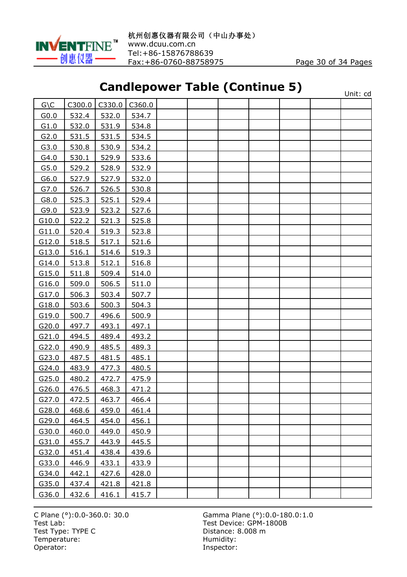

# **Candlepower Table (Continue 5)**

|                  |        |        |        | canalepower Table (continue b) |  |  | Unit: cd |
|------------------|--------|--------|--------|--------------------------------|--|--|----------|
| $G \setminus C$  | C300.0 | C330.0 | C360.0 |                                |  |  |          |
| G <sub>0.0</sub> | 532.4  | 532.0  | 534.7  |                                |  |  |          |
| G1.0             | 532.0  | 531.9  | 534.8  |                                |  |  |          |
| G2.0             | 531.5  | 531.5  | 534.5  |                                |  |  |          |
| G3.0             | 530.8  | 530.9  | 534.2  |                                |  |  |          |
| G4.0             | 530.1  | 529.9  | 533.6  |                                |  |  |          |
| G5.0             | 529.2  | 528.9  | 532.9  |                                |  |  |          |
| G6.0             | 527.9  | 527.9  | 532.0  |                                |  |  |          |
| G7.0             | 526.7  | 526.5  | 530.8  |                                |  |  |          |
| G8.0             | 525.3  | 525.1  | 529.4  |                                |  |  |          |
| G9.0             | 523.9  | 523.2  | 527.6  |                                |  |  |          |
| G10.0            | 522.2  | 521.3  | 525.8  |                                |  |  |          |
| G11.0            | 520.4  | 519.3  | 523.8  |                                |  |  |          |
| G12.0            | 518.5  | 517.1  | 521.6  |                                |  |  |          |
| G13.0            | 516.1  | 514.6  | 519.3  |                                |  |  |          |
| G14.0            | 513.8  | 512.1  | 516.8  |                                |  |  |          |
| G15.0            | 511.8  | 509.4  | 514.0  |                                |  |  |          |
| G16.0            | 509.0  | 506.5  | 511.0  |                                |  |  |          |
| G17.0            | 506.3  | 503.4  | 507.7  |                                |  |  |          |
| G18.0            | 503.6  | 500.3  | 504.3  |                                |  |  |          |
| G19.0            | 500.7  | 496.6  | 500.9  |                                |  |  |          |
| G20.0            | 497.7  | 493.1  | 497.1  |                                |  |  |          |
| G21.0            | 494.5  | 489.4  | 493.2  |                                |  |  |          |
| G22.0            | 490.9  | 485.5  | 489.3  |                                |  |  |          |
| G23.0            | 487.5  | 481.5  | 485.1  |                                |  |  |          |
| G24.0            | 483.9  | 477.3  | 480.5  |                                |  |  |          |
| G25.0            | 480.2  | 472.7  | 475.9  |                                |  |  |          |
| G26.0            | 476.5  | 468.3  | 471.2  |                                |  |  |          |
| G27.0            | 472.5  | 463.7  | 466.4  |                                |  |  |          |
| G28.0            | 468.6  | 459.0  | 461.4  |                                |  |  |          |
| G29.0            | 464.5  | 454.0  | 456.1  |                                |  |  |          |
| G30.0            | 460.0  | 449.0  | 450.9  |                                |  |  |          |
| G31.0            | 455.7  | 443.9  | 445.5  |                                |  |  |          |
| G32.0            | 451.4  | 438.4  | 439.6  |                                |  |  |          |
| G33.0            | 446.9  | 433.1  | 433.9  |                                |  |  |          |
| G34.0            | 442.1  | 427.6  | 428.0  |                                |  |  |          |
| G35.0            | 437.4  | 421.8  | 421.8  |                                |  |  |          |
| G36.0            | 432.6  | 416.1  | 415.7  |                                |  |  |          |

Test Type: TYPE C<br>
Temperature: Contract Contract Contract Contract Contract Contract Contract Contract Contract Contract Contract Contract Contract Contract Contract Contract Contract Contract Contract Contract Contract C Temperature:<br>Operator: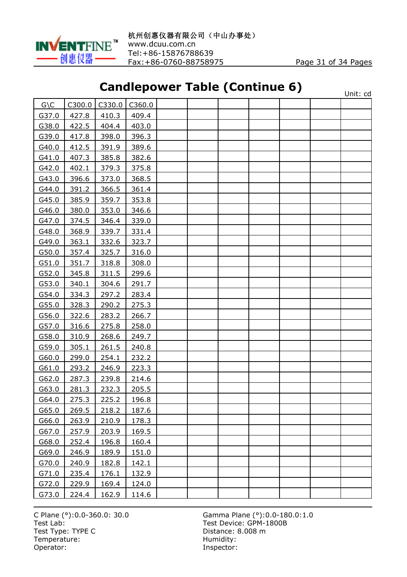

# **Candlepower Table (Continue 6)**

|                 |        |        |        | canalepower Table (continue of |  |  | Unit: cd |
|-----------------|--------|--------|--------|--------------------------------|--|--|----------|
| $G \setminus C$ | C300.0 | C330.0 | C360.0 |                                |  |  |          |
| G37.0           | 427.8  | 410.3  | 409.4  |                                |  |  |          |
| G38.0           | 422.5  | 404.4  | 403.0  |                                |  |  |          |
| G39.0           | 417.8  | 398.0  | 396.3  |                                |  |  |          |
| G40.0           | 412.5  | 391.9  | 389.6  |                                |  |  |          |
| G41.0           | 407.3  | 385.8  | 382.6  |                                |  |  |          |
| G42.0           | 402.1  | 379.3  | 375.8  |                                |  |  |          |
| G43.0           | 396.6  | 373.0  | 368.5  |                                |  |  |          |
| G44.0           | 391.2  | 366.5  | 361.4  |                                |  |  |          |
| G45.0           | 385.9  | 359.7  | 353.8  |                                |  |  |          |
| G46.0           | 380.0  | 353.0  | 346.6  |                                |  |  |          |
| G47.0           | 374.5  | 346.4  | 339.0  |                                |  |  |          |
| G48.0           | 368.9  | 339.7  | 331.4  |                                |  |  |          |
| G49.0           | 363.1  | 332.6  | 323.7  |                                |  |  |          |
| G50.0           | 357.4  | 325.7  | 316.0  |                                |  |  |          |
| G51.0           | 351.7  | 318.8  | 308.0  |                                |  |  |          |
| G52.0           | 345.8  | 311.5  | 299.6  |                                |  |  |          |
| G53.0           | 340.1  | 304.6  | 291.7  |                                |  |  |          |
| G54.0           | 334.3  | 297.2  | 283.4  |                                |  |  |          |
| G55.0           | 328.3  | 290.2  | 275.3  |                                |  |  |          |
| G56.0           | 322.6  | 283.2  | 266.7  |                                |  |  |          |
| G57.0           | 316.6  | 275.8  | 258.0  |                                |  |  |          |
| G58.0           | 310.9  | 268.6  | 249.7  |                                |  |  |          |
| G59.0           | 305.1  | 261.5  | 240.8  |                                |  |  |          |
| G60.0           | 299.0  | 254.1  | 232.2  |                                |  |  |          |
| G61.0           | 293.2  | 246.9  | 223.3  |                                |  |  |          |
| G62.0           | 287.3  | 239.8  | 214.6  |                                |  |  |          |
| G63.0           | 281.3  | 232.3  | 205.5  |                                |  |  |          |
| G64.0           | 275.3  | 225.2  | 196.8  |                                |  |  |          |
| G65.0           | 269.5  | 218.2  | 187.6  |                                |  |  |          |
| G66.0           | 263.9  | 210.9  | 178.3  |                                |  |  |          |
| G67.0           | 257.9  | 203.9  | 169.5  |                                |  |  |          |
| G68.0           | 252.4  | 196.8  | 160.4  |                                |  |  |          |
| G69.0           | 246.9  | 189.9  | 151.0  |                                |  |  |          |
| G70.0           | 240.9  | 182.8  | 142.1  |                                |  |  |          |
| G71.0           | 235.4  | 176.1  | 132.9  |                                |  |  |          |
| G72.0           | 229.9  | 169.4  | 124.0  |                                |  |  |          |
| G73.0           | 224.4  | 162.9  | 114.6  |                                |  |  |          |

Test Type: TYPE C<br>
Temperature: Contract Contract Contract Contract Contract Contract Contract Contract Contract Contract Contract Contract Contract Contract Contract Contract Contract Contract Contract Contract Contract C Temperature:<br>Operator: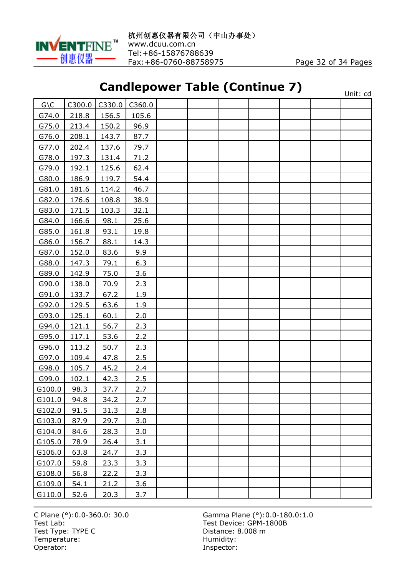

# **Candlepower Table (Continue 7)**

|                 |        |        | canalepower rapic (continue <i>r</i> ) |  |  |  | Unit: cd |
|-----------------|--------|--------|----------------------------------------|--|--|--|----------|
| $G \setminus C$ | C300.0 | C330.0 | C360.0                                 |  |  |  |          |
| G74.0           | 218.8  | 156.5  | 105.6                                  |  |  |  |          |
| G75.0           | 213.4  | 150.2  | 96.9                                   |  |  |  |          |
| G76.0           | 208.1  | 143.7  | 87.7                                   |  |  |  |          |
| G77.0           | 202.4  | 137.6  | 79.7                                   |  |  |  |          |
| G78.0           | 197.3  | 131.4  | 71.2                                   |  |  |  |          |
| G79.0           | 192.1  | 125.6  | 62.4                                   |  |  |  |          |
| G80.0           | 186.9  | 119.7  | 54.4                                   |  |  |  |          |
| G81.0           | 181.6  | 114.2  | 46.7                                   |  |  |  |          |
| G82.0           | 176.6  | 108.8  | 38.9                                   |  |  |  |          |
| G83.0           | 171.5  | 103.3  | 32.1                                   |  |  |  |          |
| G84.0           | 166.6  | 98.1   | 25.6                                   |  |  |  |          |
| G85.0           | 161.8  | 93.1   | 19.8                                   |  |  |  |          |
| G86.0           | 156.7  | 88.1   | 14.3                                   |  |  |  |          |
| G87.0           | 152.0  | 83.6   | 9.9                                    |  |  |  |          |
| G88.0           | 147.3  | 79.1   | 6.3                                    |  |  |  |          |
| G89.0           | 142.9  | 75.0   | 3.6                                    |  |  |  |          |
| G90.0           | 138.0  | 70.9   | 2.3                                    |  |  |  |          |
| G91.0           | 133.7  | 67.2   | 1.9                                    |  |  |  |          |
| G92.0           | 129.5  | 63.6   | 1.9                                    |  |  |  |          |
| G93.0           | 125.1  | 60.1   | 2.0                                    |  |  |  |          |
| G94.0           | 121.1  | 56.7   | 2.3                                    |  |  |  |          |
| G95.0           | 117.1  | 53.6   | 2.2                                    |  |  |  |          |
| G96.0           | 113.2  | 50.7   | 2.3                                    |  |  |  |          |
| G97.0           | 109.4  | 47.8   | 2.5                                    |  |  |  |          |
| G98.0           | 105.7  | 45.2   | 2.4                                    |  |  |  |          |
| G99.0           | 102.1  | 42.3   | 2.5                                    |  |  |  |          |
| G100.0          | 98.3   | 37.7   | 2.7                                    |  |  |  |          |
| G101.0          | 94.8   | 34.2   | 2.7                                    |  |  |  |          |
| G102.0          | 91.5   | 31.3   | 2.8                                    |  |  |  |          |
| G103.0          | 87.9   | 29.7   | 3.0                                    |  |  |  |          |
| G104.0          | 84.6   | 28.3   | 3.0                                    |  |  |  |          |
| G105.0          | 78.9   | 26.4   | 3.1                                    |  |  |  |          |
| G106.0          | 63.8   | 24.7   | 3.3                                    |  |  |  |          |
| G107.0          | 59.8   | 23.3   | 3.3                                    |  |  |  |          |
| G108.0          | 56.8   | 22.2   | 3.3                                    |  |  |  |          |
| G109.0          | 54.1   | 21.2   | 3.6                                    |  |  |  |          |
| G110.0          | 52.6   | 20.3   | 3.7                                    |  |  |  |          |

Test Type: TYPE C<br>
Temperature: Contract Contract Contract Contract Contract Contract Contract Contract Contract Contract Contract Contract Contract Contract Contract Contract Contract Contract Contract Contract Contract C Temperature:<br>Operator: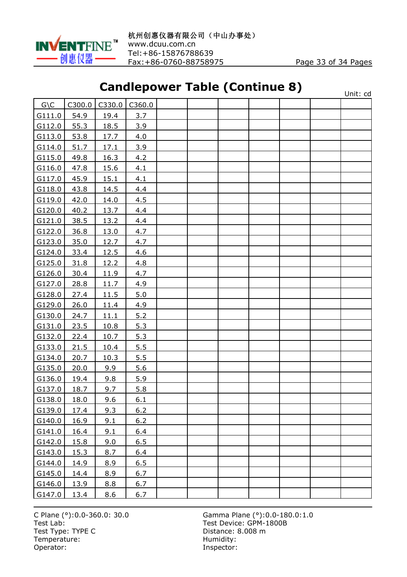

# **Candlepower Table (Continue 8)**

|                 |             |             |        | canalepower Table (continue of |  |  | Unit: cd |
|-----------------|-------------|-------------|--------|--------------------------------|--|--|----------|
| $G \setminus C$ | C300.0      | C330.0      | C360.0 |                                |  |  |          |
| G111.0          | 54.9        | 19.4        | 3.7    |                                |  |  |          |
| G112.0          | 55.3        | 18.5        | 3.9    |                                |  |  |          |
| G113.0          | 53.8        | 17.7        | 4.0    |                                |  |  |          |
| G114.0          | 51.7        | 17.1        | 3.9    |                                |  |  |          |
| G115.0          | 49.8        | 16.3        | 4.2    |                                |  |  |          |
| G116.0          | 47.8        | <u>15.6</u> | 4.1    |                                |  |  |          |
| G117.0          | 45.9        | 15.1        | 4.1    |                                |  |  |          |
| G118.0          | 43.8        | 14.5        | 4.4    |                                |  |  |          |
| G119.0          | 42.0        | 14.0        | 4.5    |                                |  |  |          |
| G120.0          | 40.2        | 13.7        | 4.4    |                                |  |  |          |
| G121.0          | 38.5        | 13.2        | 4.4    |                                |  |  |          |
| G122.0          | 36.8        | 13.0        | 4.7    |                                |  |  |          |
| G123.0          | 35.0        | 12.7        | 4.7    |                                |  |  |          |
| G124.0          | 33.4        | 12.5        | 4.6    |                                |  |  |          |
| G125.0          | 31.8        | 12.2        | 4.8    |                                |  |  |          |
| G126.0          | 30.4        | 11.9        | 4.7    |                                |  |  |          |
| G127.0          | 28.8        | 11.7        | 4.9    |                                |  |  |          |
| G128.0          | 27.4        | 11.5        | 5.0    |                                |  |  |          |
| G129.0          | 26.0        | 11.4        | 4.9    |                                |  |  |          |
| G130.0          | 24.7        | 11.1        | 5.2    |                                |  |  |          |
| G131.0          | 23.5        | 10.8        | 5.3    |                                |  |  |          |
| G132.0          | 22.4        | 10.7        | 5.3    |                                |  |  |          |
| G133.0          | 21.5        | 10.4        | 5.5    |                                |  |  |          |
| G134.0          | 20.7        | 10.3        | 5.5    |                                |  |  |          |
| G135.0          | 20.0        | 9.9         | 5.6    |                                |  |  |          |
| G136.0          | 19.4        | 9.8         | 5.9    |                                |  |  |          |
| G137.0          | 18.7        | 9.7         | 5.8    |                                |  |  |          |
| G138.0          | 18.0        | 9.6         | 6.1    |                                |  |  |          |
| G139.0          | 17.4        | 9.3         | 6.2    |                                |  |  |          |
| G140.0          | 16.9        | 9.1         | 6.2    |                                |  |  |          |
| G141.0          | 16.4        | 9.1         | 6.4    |                                |  |  |          |
| G142.0          | 15.8        | 9.0         | 6.5    |                                |  |  |          |
| G143.0          | 15.3        | 8.7         | 6.4    |                                |  |  |          |
| G144.0          | 14.9        | 8.9         | 6.5    |                                |  |  |          |
| G145.0          | 14.4        | 8.9         | 6.7    |                                |  |  |          |
| G146.0          | <u>13.9</u> | 8.8         | 6.7    |                                |  |  |          |
| G147.0          | 13.4        | 8.6         | 6.7    |                                |  |  |          |

Test Type: TYPE C<br>
Temperature: Contract Contract Contract Contract Contract Contract Contract Contract Contract Contract Contract Contract Contract Contract Contract Contract Contract Contract Contract Contract Contract C Temperature:<br>Operator: